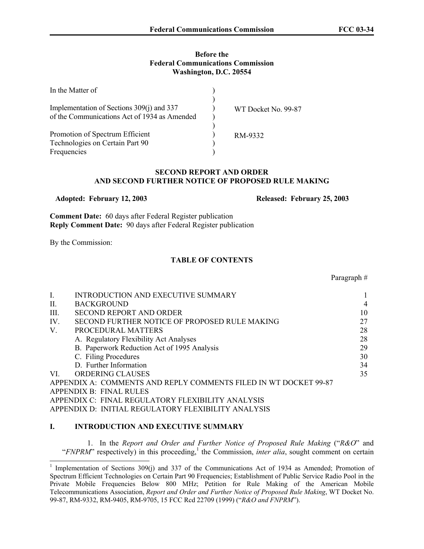#### **Before the Federal Communications Commission Washington, D.C. 20554**

| In the Matter of                                                                          |                     |
|-------------------------------------------------------------------------------------------|---------------------|
| Implementation of Sections 309(j) and 337<br>of the Communications Act of 1934 as Amended | WT Docket No. 99-87 |
| Promotion of Spectrum Efficient<br>Technologies on Certain Part 90<br>Frequencies         | RM-9332             |

## **SECOND REPORT AND ORDER AND SECOND FURTHER NOTICE OF PROPOSED RULE MAKING**

 **Adopted: February 12, 2003 Released: February 25, 2003**

**Comment Date:** 60 days after Federal Register publication **Reply Comment Date:** 90 days after Federal Register publication

By the Commission:

 $\overline{a}$ 

#### **TABLE OF CONTENTS**

#### Paragraph #

| I.   | INTRODUCTION AND EXECUTIVE SUMMARY                               | 1  |
|------|------------------------------------------------------------------|----|
| II.  | <b>BACKGROUND</b>                                                | 4  |
| III. | <b>SECOND REPORT AND ORDER</b>                                   | 10 |
| IV.  | SECOND FURTHER NOTICE OF PROPOSED RULE MAKING                    | 27 |
| V.   | PROCEDURAL MATTERS                                               | 28 |
|      | A. Regulatory Flexibility Act Analyses                           | 28 |
|      | B. Paperwork Reduction Act of 1995 Analysis                      | 29 |
|      | C. Filing Procedures                                             | 30 |
|      | D. Further Information                                           | 34 |
| VI.  | <b>ORDERING CLAUSES</b>                                          | 35 |
|      | APPENDIX A: COMMENTS AND REPLY COMMENTS FILED IN WT DOCKET 99-87 |    |
|      | <b>APPENDIX B: FINAL RULES</b>                                   |    |
|      | APPENDIX C: FINAL REGULATORY FLEXIBILITY ANALYSIS                |    |
|      | APPENDIX D: INITIAL REGULATORY FLEXIBILITY ANALYSIS              |    |

## **I. INTRODUCTION AND EXECUTIVE SUMMARY**

1. In the *Report and Order and Further Notice of Proposed Rule Making* ("*R&O*" and "*FNPRM*" respectively) in this proceeding,<sup>1</sup> the Commission, *inter alia*, sought comment on certain

<sup>&</sup>lt;sup>1</sup> Implementation of Sections 309(j) and 337 of the Communications Act of 1934 as Amended; Promotion of Spectrum Efficient Technologies on Certain Part 90 Frequencies; Establishment of Public Service Radio Pool in the Private Mobile Frequencies Below 800 MHz; Petition for Rule Making of the American Mobile Telecommunications Association, *Report and Order and Further Notice of Proposed Rule Making*, WT Docket No. 99-87, RM-9332, RM-9405, RM-9705, 15 FCC Rcd 22709 (1999) ("*R&O and FNPRM*").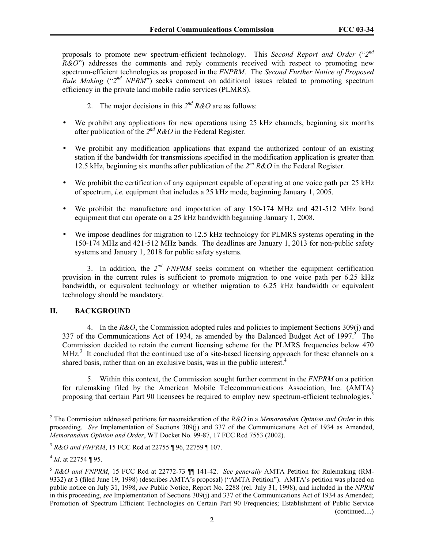proposals to promote new spectrum-efficient technology. This *Second Report and Order* ("*2nd R&O*") addresses the comments and reply comments received with respect to promoting new spectrum-efficient technologies as proposed in the *FNPRM*. The *Second Further Notice of Proposed Rule Making* ("2"<sup>*d NPRM*") seeks comment on additional issues related to promoting spectrum</sup> efficiency in the private land mobile radio services (PLMRS).

- 2. The major decisions in this *2nd R&O* are as follows:
- We prohibit any applications for new operations using 25 kHz channels, beginning six months after publication of the *2nd R&O* in the Federal Register.
- We prohibit any modification applications that expand the authorized contour of an existing station if the bandwidth for transmissions specified in the modification application is greater than 12.5 kHz, beginning six months after publication of the *2nd R&O* in the Federal Register.
- We prohibit the certification of any equipment capable of operating at one voice path per 25 kHz of spectrum, *i.e.* equipment that includes a 25 kHz mode, beginning January 1, 2005.
- We prohibit the manufacture and importation of any 150-174 MHz and 421-512 MHz band equipment that can operate on a 25 kHz bandwidth beginning January 1, 2008.
- We impose deadlines for migration to 12.5 kHz technology for PLMRS systems operating in the 150-174 MHz and 421-512 MHz bands. The deadlines are January 1, 2013 for non-public safety systems and January 1, 2018 for public safety systems.

3. In addition, the *2nd FNPRM* seeks comment on whether the equipment certification provision in the current rules is sufficient to promote migration to one voice path per 6.25 kHz bandwidth, or equivalent technology or whether migration to 6.25 kHz bandwidth or equivalent technology should be mandatory.

# **II. BACKGROUND**

4. In the *R&O*, the Commission adopted rules and policies to implement Sections 309(j) and 337 of the Communications Act of 1934, as amended by the Balanced Budget Act of 1997. $\frac{2}{3}$  The Commission decided to retain the current licensing scheme for the PLMRS frequencies below 470 MHz.<sup>3</sup> It concluded that the continued use of a site-based licensing approach for these channels on a shared basis, rather than on an exclusive basis, was in the public interest.<sup>4</sup>

5. Within this context, the Commission sought further comment in the *FNPRM* on a petition for rulemaking filed by the American Mobile Telecommunications Association, Inc. (AMTA) proposing that certain Part 90 licensees be required to employ new spectrum-efficient technologies.<sup>5</sup>

<sup>2</sup> The Commission addressed petitions for reconsideration of the *R&O* in a *Memorandum Opinion and Order* in this proceeding. *See* Implementation of Sections 309(j) and 337 of the Communications Act of 1934 as Amended, *Memorandum Opinion and Order*, WT Docket No. 99-87, 17 FCC Rcd 7553 (2002).

<sup>3</sup> *R&O and FNPRM*, 15 FCC Rcd at 22755 ¶ 96, 22759 ¶ 107.

 $4$  *Id.* at 22754 ¶ 95.

<sup>5</sup> *R&O and FNPRM*, 15 FCC Rcd at 22772-73 ¶¶ 141-42. *See generally* AMTA Petition for Rulemaking (RM-9332) at 3 (filed June 19, 1998) (describes AMTA's proposal) ("AMTA Petition"). AMTA's petition was placed on public notice on July 31, 1998, *see* Public Notice, Report No. 2288 (rel. July 31, 1998), and included in the *NPRM* in this proceeding, *see* Implementation of Sections 309(j) and 337 of the Communications Act of 1934 as Amended; Promotion of Spectrum Efficient Technologies on Certain Part 90 Frequencies; Establishment of Public Service (continued....)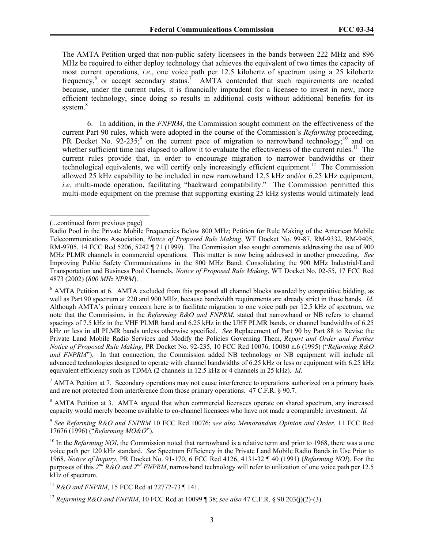The AMTA Petition urged that non-public safety licensees in the bands between 222 MHz and 896 MHz be required to either deploy technology that achieves the equivalent of two times the capacity of most current operations, *i.e.*, one voice path per 12.5 kilohertz of spectrum using a 25 kilohertz frequency,<sup>6</sup> or accept secondary status.<sup>7</sup> AMTA contended that such requirements are needed because, under the current rules, it is financially imprudent for a licensee to invest in new, more efficient technology, since doing so results in additional costs without additional benefits for its system.<sup>8</sup>

6. In addition, in the *FNPRM*, the Commission sought comment on the effectiveness of the current Part 90 rules, which were adopted in the course of the Commission's *Refarming* proceeding, PR Docket No. 92-235;<sup>9</sup> on the current pace of migration to narrowband technology;<sup>10</sup> and on whether sufficient time has elapsed to allow it to evaluate the effectiveness of the current rules.<sup>11</sup> The current rules provide that, in order to encourage migration to narrower bandwidths or their technological equivalents, we will certify only increasingly efficient equipment.<sup>12</sup> The Commission allowed 25 kHz capability to be included in new narrowband 12.5 kHz and/or 6.25 kHz equipment, *i.e.* multi-mode operation, facilitating "backward compatibility." The Commission permitted this multi-mode equipment on the premise that supporting existing 25 kHz systems would ultimately lead

 $\overline{a}$ 

 $<sup>7</sup>$  AMTA Petition at 7. Secondary operations may not cause interference to operations authorized on a primary basis</sup> and are not protected from interference from those primary operations. 47 C.F.R. § 90.7.

<sup>8</sup> AMTA Petition at 3. AMTA argued that when commercial licensees operate on shared spectrum, any increased capacity would merely become available to co-channel licensees who have not made a comparable investment. *Id.* 

<sup>9</sup> *See Refarming R&O and FNPRM* 10 FCC Rcd 10076; *see also Memorandum Opinion and Order*, 11 FCC Rcd 17676 (1996) ("*Refarming MO&O*").

<sup>(...</sup>continued from previous page)

Radio Pool in the Private Mobile Frequencies Below 800 MHz; Petition for Rule Making of the American Mobile Telecommunications Association, *Notice of Proposed Rule Making*, WT Docket No. 99-87, RM-9332, RM-9405, RM-9705, 14 FCC Rcd 5206, 5242 ¶ 71 (1999). The Commission also sought comments addressing the use of 900 MHz PLMR channels in commercial operations. This matter is now being addressed in another proceeding. *See* Improving Public Safety Communications in the 800 MHz Band; Consolidating the 900 MHz Industrial/Land Transportation and Business Pool Channels, *Notice of Proposed Rule Making*, WT Docket No. 02-55, 17 FCC Rcd 4873 (2002) (*800 MHz NPRM*).

<sup>&</sup>lt;sup>6</sup> AMTA Petition at 6. AMTA excluded from this proposal all channel blocks awarded by competitive bidding, as well as Part 90 spectrum at 220 and 900 MHz, because bandwidth requirements are already strict in those bands. *Id.* Although AMTA's primary concern here is to facilitate migration to one voice path per 12.5 kHz of spectrum, we note that the Commission, in the *Refarming R&O and FNPRM*, stated that narrowband or NB refers to channel spacings of 7.5 kHz in the VHF PLMR band and 6.25 kHz in the UHF PLMR bands, or channel bandwidths of 6.25 kHz or less in all PLMR bands unless otherwise specified. *See* Replacement of Part 90 by Part 88 to Revise the Private Land Mobile Radio Services and Modify the Policies Governing Them, *Report and Order and Further Notice of Proposed Rule Making,* PR Docket No. 92-235, 10 FCC Rcd 10076, 10080 n.6 (1995) ("*Refarming R&O*  and FNPRM<sup>"</sup>). In that connection, the Commission added NB technology or NB equipment will include all advanced technologies designed to operate with channel bandwidths of 6.25 kHz or less or equipment with 6.25 kHz equivalent efficiency such as TDMA (2 channels in 12.5 kHz or 4 channels in 25 kHz). *Id*.

<sup>&</sup>lt;sup>10</sup> In the *Refarming NOI*, the Commission noted that narrowband is a relative term and prior to 1968, there was a one voice path per 120 kHz standard. *See* Spectrum Efficiency in the Private Land Mobile Radio Bands in Use Prior to 1968, *Notice of Inquiry*, PR Docket No. 91-170, 6 FCC Rcd 4126, 4131-32 ¶ 40 (1991) (*Refarming NOI*). For the purposes of this  $2^{nd} R\&O$  and  $2^{nd} FNPRM$ , narrowband technology will refer to utilization of one voice path per 12.5 kHz of spectrum.

<sup>11</sup> *R&O and FNPRM*, 15 FCC Rcd at 22772-73 ¶ 141.

<sup>12</sup> *Refarming R&O and FNPRM*, 10 FCC Rcd at 10099 ¶ 38; *see also* 47 C.F.R. § 90.203(j)(2)-(3).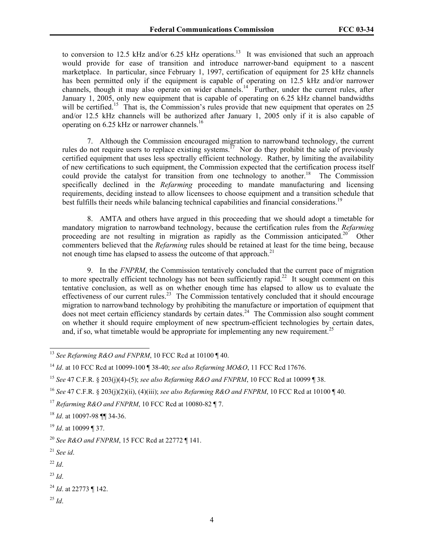to conversion to 12.5 kHz and/or 6.25 kHz operations.<sup>13</sup> It was envisioned that such an approach would provide for ease of transition and introduce narrower-band equipment to a nascent marketplace. In particular, since February 1, 1997, certification of equipment for 25 kHz channels has been permitted only if the equipment is capable of operating on 12.5 kHz and/or narrower channels, though it may also operate on wider channels.<sup>14</sup> Further, under the current rules, after January 1, 2005, only new equipment that is capable of operating on 6.25 kHz channel bandwidths will be certified.<sup>15</sup> That is, the Commission's rules provide that new equipment that operates on 25 and/or 12.5 kHz channels will be authorized after January 1, 2005 only if it is also capable of operating on 6.25 kHz or narrower channels.<sup>16</sup>

7. Although the Commission encouraged migration to narrowband technology, the current rules do not require users to replace existing systems.<sup>17</sup> Nor do they prohibit the sale of previously certified equipment that uses less spectrally efficient technology. Rather, by limiting the availability of new certifications to such equipment, the Commission expected that the certification process itself could provide the catalyst for transition from one technology to another.<sup>18</sup> The Commission specifically declined in the *Refarming* proceeding to mandate manufacturing and licensing requirements, deciding instead to allow licensees to choose equipment and a transition schedule that best fulfills their needs while balancing technical capabilities and financial considerations.<sup>19</sup>

8. AMTA and others have argued in this proceeding that we should adopt a timetable for mandatory migration to narrowband technology, because the certification rules from the *Refarming*  proceeding are not resulting in migration as rapidly as the Commission anticipated.<sup>20</sup> Other commenters believed that the *Refarming* rules should be retained at least for the time being, because not enough time has elapsed to assess the outcome of that approach.<sup>21</sup>

9. In the *FNPRM*, the Commission tentatively concluded that the current pace of migration to more spectrally efficient technology has not been sufficiently rapid.<sup>22</sup> It sought comment on this tentative conclusion, as well as on whether enough time has elapsed to allow us to evaluate the effectiveness of our current rules.<sup>23</sup> The Commission tentatively concluded that it should encourage migration to narrowband technology by prohibiting the manufacture or importation of equipment that  $\frac{1}{2}$  does not meet certain efficiency standards by certain dates.<sup>24</sup> The Commission also sought comment on whether it should require employment of new spectrum-efficient technologies by certain dates, and, if so, what timetable would be appropriate for implementing any new requirement.<sup>25</sup>

- <sup>21</sup> *See id*.
- $^{22}$  *Id*.

l

 $^{23}$  *Id.* 

```
24 Id. at 22773 ¶ 142.
```
<sup>25</sup> *Id*.

<sup>&</sup>lt;sup>13</sup> See Refarming R&O and FNPRM, 10 FCC Rcd at 10100 ¶ 40.

<sup>14</sup> *Id*. at 10 FCC Rcd at 10099-100 ¶ 38-40; *see also Refarming MO&O*, 11 FCC Rcd 17676.

<sup>15</sup> *See* 47 C.F.R. § 203(j)(4)-(5); *see also Refarming R&O and FNPRM*, 10 FCC Rcd at 10099 ¶ 38.

<sup>16</sup> *See* 47 C.F.R. § 203(j)(2)(ii), (4)(iii); *see also Refarming R&O and FNPRM*, 10 FCC Rcd at 10100 ¶ 40.

<sup>17</sup> *Refarming R&O and FNPRM*, 10 FCC Rcd at 10080-82 ¶ 7.

<sup>18</sup> *Id*. at 10097-98 ¶¶ 34-36.

<sup>19</sup> *Id*. at 10099 ¶ 37.

<sup>20</sup> *See R&O and FNPRM*, 15 FCC Rcd at 22772 ¶ 141.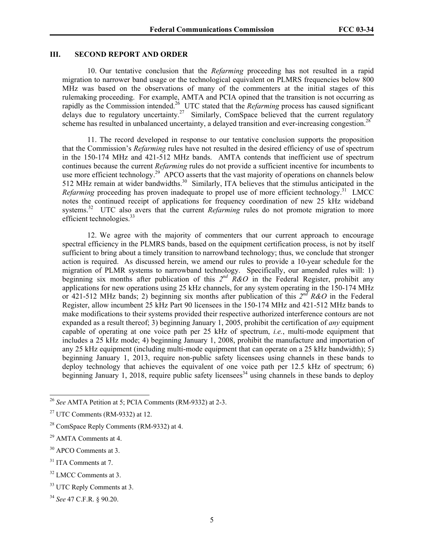## **III. SECOND REPORT AND ORDER**

10. Our tentative conclusion that the *Refarming* proceeding has not resulted in a rapid migration to narrower band usage or the technological equivalent on PLMRS frequencies below 800 MHz was based on the observations of many of the commenters at the initial stages of this rulemaking proceeding. For example, AMTA and PCIA opined that the transition is not occurring as rapidly as the Commission intended.26 UTC stated that the *Refarming* process has caused significant delays due to regulatory uncertainty.<sup>27</sup> Similarly, ComSpace believed that the current regulatory scheme has resulted in unbalanced uncertainty, a delayed transition and ever-increasing congestion.<sup>28</sup>

11. The record developed in response to our tentative conclusion supports the proposition that the Commission's *Refarming* rules have not resulted in the desired efficiency of use of spectrum in the 150-174 MHz and 421-512 MHz bands. AMTA contends that inefficient use of spectrum continues because the current *Refarming* rules do not provide a sufficient incentive for incumbents to use more efficient technology.<sup>29</sup> APCO asserts that the vast majority of operations on channels below 512 MHz remain at wider bandwidths.<sup>30</sup> Similarly, ITA believes that the stimulus anticipated in the *Refarming* proceeding has proven inadequate to propel use of more efficient technology.<sup>31</sup> LMCC notes the continued receipt of applications for frequency coordination of new 25 kHz wideband systems.<sup>32</sup> UTC also avers that the current *Refarming* rules do not promote migration to more efficient technologies.<sup>33</sup>

12. We agree with the majority of commenters that our current approach to encourage spectral efficiency in the PLMRS bands, based on the equipment certification process, is not by itself sufficient to bring about a timely transition to narrowband technology; thus, we conclude that stronger action is required. As discussed herein, we amend our rules to provide a 10-year schedule for the migration of PLMR systems to narrowband technology. Specifically, our amended rules will: 1) beginning six months after publication of this  $2^{nd}$   $\widetilde{R}$   $\&O$  in the Federal Register, prohibit any applications for new operations using 25 kHz channels, for any system operating in the 150-174 MHz or 421-512 MHz bands; 2) beginning six months after publication of this  $2^{nd} R & O$  in the Federal Register, allow incumbent 25 kHz Part 90 licensees in the 150-174 MHz and 421-512 MHz bands to make modifications to their systems provided their respective authorized interference contours are not expanded as a result thereof; 3) beginning January 1, 2005, prohibit the certification of *any* equipment capable of operating at one voice path per 25 kHz of spectrum, *i.e.*, multi-mode equipment that includes a 25 kHz mode; 4) beginning January 1, 2008, prohibit the manufacture and importation of any 25 kHz equipment (including multi-mode equipment that can operate on a 25 kHz bandwidth); 5) beginning January 1, 2013, require non-public safety licensees using channels in these bands to deploy technology that achieves the equivalent of one voice path per 12.5 kHz of spectrum; 6) beginning January 1, 2018, require public safety licensees<sup>34</sup> using channels in these bands to deploy

<sup>26</sup> *See* AMTA Petition at 5; PCIA Comments (RM-9332) at 2-3.

 $27$  UTC Comments (RM-9332) at 12.

<sup>28</sup> ComSpace Reply Comments (RM-9332) at 4.

<sup>29</sup> AMTA Comments at 4.

<sup>30</sup> APCO Comments at 3.

<sup>&</sup>lt;sup>31</sup> ITA Comments at 7.

<sup>&</sup>lt;sup>32</sup> LMCC Comments at 3.

<sup>&</sup>lt;sup>33</sup> UTC Reply Comments at 3.

<sup>34</sup> *See* 47 C.F.R. § 90.20.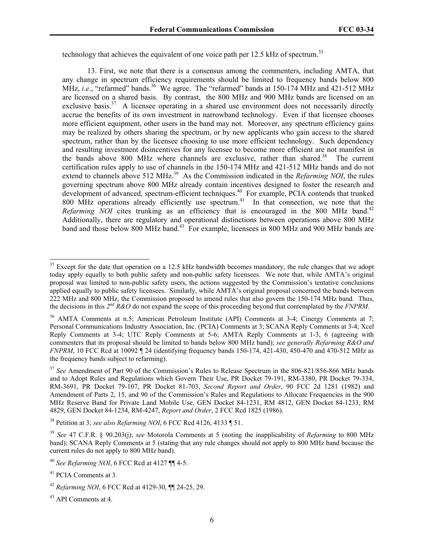technology that achieves the equivalent of one voice path per 12.5 kHz of spectrum.<sup>35</sup>

13. First, we note that there is a consensus among the commenters, including AMTA, that any change in spectrum efficiency requirements should be limited to frequency bands below 800 MHz, *i.e.*, "refarmed" bands.<sup>36</sup> We agree. The "refarmed" bands at 150-174 MHz and 421-512 MHz are licensed on a shared basis. By contrast, the 800 MHz and 900 MHz bands are licensed on an exclusive basis.<sup>37</sup> A licensee operating in a shared use environment does not necessarily directly accrue the benefits of its own investment in narrowband technology. Even if that licensee chooses more efficient equipment, other users in the band may not. Moreover, any spectrum efficiency gains may be realized by others sharing the spectrum, or by new applicants who gain access to the shared spectrum, rather than by the licensee choosing to use more efficient technology. Such dependency and resulting investment disincentives for any licensee to become more efficient are not manifest in the bands above 800 MHz where channels are exclusive, rather than shared.<sup>38</sup> The current certification rules apply to use of channels in the 150-174 MHz and 421-512 MHz bands and do not extend to channels above 512 MHz.<sup>39</sup> As the Commission indicated in the *Refarming NOI*, the rules governing spectrum above 800 MHz already contain incentives designed to foster the research and development of advanced, spectrum-efficient techniques.<sup>40</sup> For example, PCIA contends that trunked 800 MHz operations already efficiently use spectrum.<sup>41</sup> In that connection, we note that the *Refarming NOI* cites trunking as an efficiency that is encouraged in the 800 MHz band.<sup>42</sup> Additionally, there are regulatory and operational distinctions between operations above 800 MHz band and those below 800 MHz band.<sup>43</sup> For example, licensees in 800 MHz and 900 MHz bands are

38 Petition at 3; *see also Refarming NOI*, 6 FCC Rcd 4126, 4133 ¶ 51.

<sup>&</sup>lt;sup>35</sup> Except for the date that operation on a 12.5 kHz bandwidth becomes mandatory, the rule changes that we adopt today apply equally to both public safety and non-public safety licensees. We note that, while AMTA's original proposal was limited to non-public safety users, the actions suggested by the Commission's tentative conclusions applied equally to public safety licensees. Similarly, while AMTA's original proposal concerned the bands between 222 MHz and 800 MHz, the Commission proposed to amend rules that also govern the 150-174 MHz band. Thus, the decisions in this *2nd R&O* do not expand the scope of this proceeding beyond that contemplated by the *FNPRM*.

<sup>&</sup>lt;sup>36</sup> AMTA Comments at n.5; American Petroleum Institute (API) Comments at 3-4; Cinergy Comments at 7; Personal Communications Industry Association, Inc. (PCIA) Comments at 3; SCANA Reply Comments at 3-4; Xcel Reply Comments at 3-4; UTC Reply Comments at 5-6; AMTA Reply Comments at 1-3, 6 (agreeing with commenters that its proposal should be limited to bands below 800 MHz band); *see generally Refarming R&O and FNPRM*, 10 FCC Rcd at 10092 ¶ 24 (identifying frequency bands 150-174, 421-430, 450-470 and 470-512 MHz as the frequency bands subject to refarming).

<sup>&</sup>lt;sup>37</sup> See Amendment of Part 90 of the Commission's Rules to Release Spectrum in the 806-821/856-866 MHz bands and to Adopt Rules and Regulations which Govern Their Use, PR Docket 79-191, RM-3380, PR Docket 79-334, RM-3691, PR Docket 79-107, PR Docket 81-703, *Second Report and Order*, 90 FCC 2d 1281 (1982) and Amendment of Parts 2, 15, and 90 of the Commission's Rules and Regulations to Allocate Frequencies in the 900 MHz Reserve Band for Private Land Mobile Use, GEN Docket 84-1231, RM 4812, GEN Docket 84-1233, RM 4829, GEN Docket 84-1234, RM-4247, *Report and Order*, 2 FCC Rcd 1825 (1986).

<sup>39</sup> *See* 47 C.F.R. § 90.203(j); *see* Motorola Comments at 5 (noting the inapplicability of *Refarming* to 800 MHz band); SCANA Reply Comments at 5 (stating that any rule changes should not apply to 800 MHz band because the current rules do not apply to 800 MHz band).

<sup>40</sup> *See Refarming NOI*, 6 FCC Rcd at 4127 ¶¶ 4-5.

<sup>41</sup> PCIA Comments at 3.

<sup>42</sup> *Refarming NOI*, 6 FCC Rcd at 4129-30, ¶¶ 24-25, 29.

<sup>43</sup> API Comments at 4.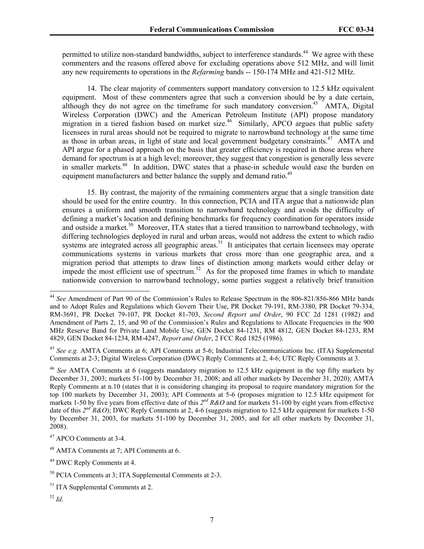permitted to utilize non-standard bandwidths, subject to interference standards.<sup>44</sup> We agree with these commenters and the reasons offered above for excluding operations above 512 MHz, and will limit any new requirements to operations in the *Refarming* bands -- 150-174 MHz and 421-512 MHz.

14. The clear majority of commenters support mandatory conversion to 12.5 kHz equivalent equipment. Most of these commenters agree that such a conversion should be by a date certain, although they do not agree on the timeframe for such mandatory conversion.<sup>45</sup> AMTA, Digital Wireless Corporation (DWC) and the American Petroleum Institute (API) propose mandatory migration in a tiered fashion based on market size.<sup>46</sup> Similarly, APCO argues that public safety licensees in rural areas should not be required to migrate to narrowband technology at the same time as those in urban areas, in light of state and local government budgetary constraints.<sup>47</sup> AMTA and API argue for a phased approach on the basis that greater efficiency is required in those areas where demand for spectrum is at a high level; moreover, they suggest that congestion is generally less severe in smaller markets.<sup>48</sup> In addition, DWC states that a phase-in schedule would ease the burden on equipment manufacturers and better balance the supply and demand ratio.<sup>49</sup>

15. By contrast, the majority of the remaining commenters argue that a single transition date should be used for the entire country. In this connection, PCIA and ITA argue that a nationwide plan ensures a uniform and smooth transition to narrowband technology and avoids the difficulty of defining a market's location and defining benchmarks for frequency coordination for operators inside and outside a market.<sup>50</sup> Moreover, ITA states that a tiered transition to narrowband technology, with differing technologies deployed in rural and urban areas, would not address the extent to which radio systems are integrated across all geographic areas.<sup>51</sup> It anticipates that certain licensees may operate communications systems in various markets that cross more than one geographic area, and a migration period that attempts to draw lines of distinction among markets would either delay or impede the most efficient use of spectrum.<sup>52</sup> As for the proposed time frames in which to mandate nationwide conversion to narrowband technology, some parties suggest a relatively brief transition

<sup>44</sup> *See* Amendment of Part 90 of the Commission's Rules to Release Spectrum in the 806-821/856-866 MHz bands and to Adopt Rules and Regulations which Govern Their Use, PR Docket 79-191, RM-3380, PR Docket 79-334, RM-3691, PR Docket 79-107, PR Docket 81-703, *Second Report and Order*, 90 FCC 2d 1281 (1982) and Amendment of Parts 2, 15, and 90 of the Commission's Rules and Regulations to Allocate Frequencies in the 900 MHz Reserve Band for Private Land Mobile Use, GEN Docket 84-1231, RM 4812, GEN Docket 84-1233, RM 4829, GEN Docket 84-1234, RM-4247, *Report and Order*, 2 FCC Rcd 1825 (1986).

<sup>45</sup> *See e.g.* AMTA Comments at 6; API Comments at 5-6; Industrial Telecommunications Inc. (ITA) Supplemental Comments at 2-3; Digital Wireless Corporation (DWC) Reply Comments at 2, 4-6; UTC Reply Comments at 3.

<sup>46</sup> *See* AMTA Comments at 6 (suggests mandatory migration to 12.5 kHz equipment in the top fifty markets by December 31, 2003; markets 51-100 by December 31, 2008; and all other markets by December 31, 2020); AMTA Reply Comments at n.10 (states that it is considering changing its proposal to require mandatory migration for the top 100 markets by December 31, 2003); API Comments at 5-6 (proposes migration to 12.5 kHz equipment for markets 1-50 by five years from effective date of this *2nd R&O* and for markets 51-100 by eight years from effective date of this *2nd R&O*); DWC Reply Comments at 2, 4-6 (suggests migration to 12.5 kHz equipment for markets 1-50 by December 31, 2003, for markets 51-100 by December 31, 2005, and for all other markets by December 31, 2008).

<sup>47</sup> APCO Comments at 3-4.

<sup>48</sup> AMTA Comments at 7; API Comments at 6.

<sup>49</sup> DWC Reply Comments at 4.

<sup>50</sup> PCIA Comments at 3; ITA Supplemental Comments at 2-3.

<sup>&</sup>lt;sup>51</sup> ITA Supplemental Comments at 2.

<sup>52</sup> *Id*.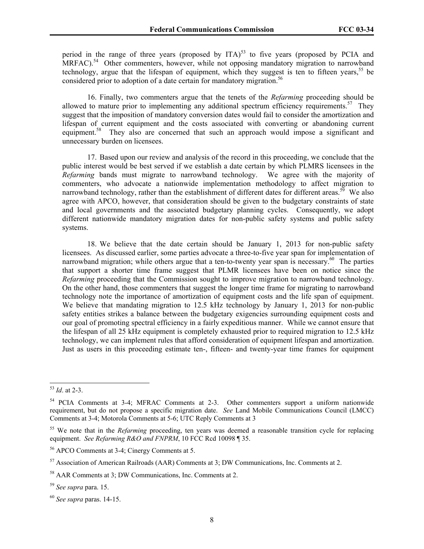period in the range of three years (proposed by ITA)<sup>53</sup> to five years (proposed by PCIA and  $MRFAC$ ).<sup>54</sup> Other commenters, however, while not opposing mandatory migration to narrowband technology, argue that the lifespan of equipment, which they suggest is ten to fifteen years,  $55$  be considered prior to adoption of a date certain for mandatory migration.<sup>56</sup>

16. Finally, two commenters argue that the tenets of the *Refarming* proceeding should be allowed to mature prior to implementing any additional spectrum efficiency requirements.<sup>57</sup> They suggest that the imposition of mandatory conversion dates would fail to consider the amortization and lifespan of current equipment and the costs associated with converting or abandoning current equipment.<sup>58</sup> They also are concerned that such an approach would impose a significant and unnecessary burden on licensees.

17. Based upon our review and analysis of the record in this proceeding, we conclude that the public interest would be best served if we establish a date certain by which PLMRS licensees in the *Refarming* bands must migrate to narrowband technology. We agree with the majority of commenters, who advocate a nationwide implementation methodology to affect migration to narrowband technology, rather than the establishment of different dates for different areas.<sup>59</sup> We also agree with APCO, however, that consideration should be given to the budgetary constraints of state and local governments and the associated budgetary planning cycles. Consequently, we adopt different nationwide mandatory migration dates for non-public safety systems and public safety systems.

18. We believe that the date certain should be January 1, 2013 for non-public safety licensees. As discussed earlier, some parties advocate a three-to-five year span for implementation of narrowband migration; while others argue that a ten-to-twenty year span is necessary.<sup>60</sup> The parties that support a shorter time frame suggest that PLMR licensees have been on notice since the *Refarming* proceeding that the Commission sought to improve migration to narrowband technology. On the other hand, those commenters that suggest the longer time frame for migrating to narrowband technology note the importance of amortization of equipment costs and the life span of equipment. We believe that mandating migration to 12.5 kHz technology by January 1, 2013 for non-public safety entities strikes a balance between the budgetary exigencies surrounding equipment costs and our goal of promoting spectral efficiency in a fairly expeditious manner. While we cannot ensure that the lifespan of all 25 kHz equipment is completely exhausted prior to required migration to 12.5 kHz technology, we can implement rules that afford consideration of equipment lifespan and amortization. Just as users in this proceeding estimate ten-, fifteen- and twenty-year time frames for equipment

<sup>53</sup> *Id*. at 2-3.

<sup>&</sup>lt;sup>54</sup> PCIA Comments at 3-4; MFRAC Comments at 2-3. Other commenters support a uniform nationwide requirement, but do not propose a specific migration date. *See* Land Mobile Communications Council (LMCC) Comments at 3-4; Motorola Comments at 5-6; UTC Reply Comments at 3

<sup>55</sup> We note that in the *Refarming* proceeding, ten years was deemed a reasonable transition cycle for replacing equipment. *See Refarming R&O and FNPRM*, 10 FCC Rcd 10098 ¶ 35.

<sup>56</sup> APCO Comments at 3-4; Cinergy Comments at 5.

<sup>57</sup> Association of American Railroads (AAR) Comments at 3; DW Communications, Inc. Comments at 2.

<sup>58</sup> AAR Comments at 3; DW Communications, Inc. Comments at 2.

<sup>59</sup> *See supra* para. 15.

<sup>60</sup> *See supra* paras. 14-15.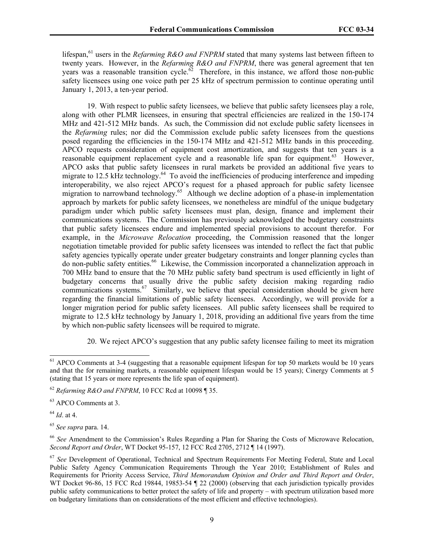lifespan,<sup>61</sup> users in the *Refarming R&O and FNPRM* stated that many systems last between fifteen to twenty years. However, in the *Refarming R&O and FNPRM*, there was general agreement that ten years was a reasonable transition cycle.<sup> $62$ </sup> Therefore, in this instance, we afford those non-public safety licensees using one voice path per 25 kHz of spectrum permission to continue operating until January 1, 2013, a ten-year period.

19. With respect to public safety licensees, we believe that public safety licensees play a role, along with other PLMR licensees, in ensuring that spectral efficiencies are realized in the 150-174 MHz and 421-512 MHz bands. As such, the Commission did not exclude public safety licensees in the *Refarming* rules; nor did the Commission exclude public safety licensees from the questions posed regarding the efficiencies in the 150-174 MHz and 421-512 MHz bands in this proceeding. APCO requests consideration of equipment cost amortization, and suggests that ten years is a reasonable equipment replacement cycle and a reasonable life span for equipment.<sup>63</sup> However, APCO asks that public safety licensees in rural markets be provided an additional five years to migrate to 12.5 kHz technology.<sup>64</sup> To avoid the inefficiencies of producing interference and impeding interoperability, we also reject APCO's request for a phased approach for public safety licensee migration to narrowband technology.<sup>65</sup> Although we decline adoption of a phase-in implementation approach by markets for public safety licensees, we nonetheless are mindful of the unique budgetary paradigm under which public safety licensees must plan, design, finance and implement their communications systems. The Commission has previously acknowledged the budgetary constraints that public safety licensees endure and implemented special provisions to account therefor. For example, in the *Microwave Relocation* proceeding, the Commission reasoned that the longer negotiation timetable provided for public safety licensees was intended to reflect the fact that public safety agencies typically operate under greater budgetary constraints and longer planning cycles than do non-public safety entities.<sup>66</sup> Likewise, the Commission incorporated a channelization approach in 700 MHz band to ensure that the 70 MHz public safety band spectrum is used efficiently in light of budgetary concerns that usually drive the public safety decision making regarding radio communications systems.<sup>67</sup> Similarly, we believe that special consideration should be given here regarding the financial limitations of public safety licensees. Accordingly, we will provide for a longer migration period for public safety licensees. All public safety licensees shall be required to migrate to 12.5 kHz technology by January 1, 2018, providing an additional five years from the time by which non-public safety licensees will be required to migrate.

20. We reject APCO's suggestion that any public safety licensee failing to meet its migration

<sup>64</sup> *Id*. at 4.

<sup>&</sup>lt;sup>61</sup> APCO Comments at 3-4 (suggesting that a reasonable equipment lifespan for top 50 markets would be 10 years and that the for remaining markets, a reasonable equipment lifespan would be 15 years); Cinergy Comments at 5 (stating that 15 years or more represents the life span of equipment).

<sup>62</sup> *Refarming R&O and FNPRM*, 10 FCC Rcd at 10098 ¶ 35.

<sup>63</sup> APCO Comments at 3.

<sup>65</sup> *See supra* para. 14.

<sup>66</sup> *See* Amendment to the Commission's Rules Regarding a Plan for Sharing the Costs of Microwave Relocation, *Second Report and Order*, WT Docket 95-157, 12 FCC Rcd 2705, 2712 ¶ 14 (1997).

<sup>67</sup> *See* Development of Operational, Technical and Spectrum Requirements For Meeting Federal, State and Local Public Safety Agency Communication Requirements Through the Year 2010; Establishment of Rules and Requirements for Priority Access Service, *Third Memorandum Opinion and Order and Third Report and Order*, WT Docket 96-86, 15 FCC Rcd 19844, 19853-54 ¶ 22 (2000) (observing that each jurisdiction typically provides public safety communications to better protect the safety of life and property – with spectrum utilization based more on budgetary limitations than on considerations of the most efficient and effective technologies).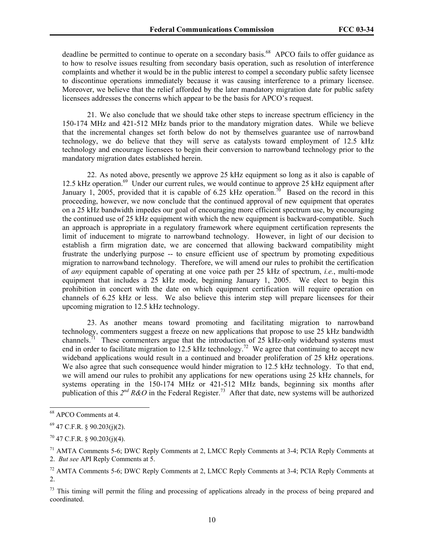deadline be permitted to continue to operate on a secondary basis.<sup>68</sup> APCO fails to offer guidance as to how to resolve issues resulting from secondary basis operation, such as resolution of interference complaints and whether it would be in the public interest to compel a secondary public safety licensee to discontinue operations immediately because it was causing interference to a primary licensee. Moreover, we believe that the relief afforded by the later mandatory migration date for public safety licensees addresses the concerns which appear to be the basis for APCO's request.

21. We also conclude that we should take other steps to increase spectrum efficiency in the 150-174 MHz and 421-512 MHz bands prior to the mandatory migration dates. While we believe that the incremental changes set forth below do not by themselves guarantee use of narrowband technology, we do believe that they will serve as catalysts toward employment of 12.5 kHz technology and encourage licensees to begin their conversion to narrowband technology prior to the mandatory migration dates established herein.

22. As noted above, presently we approve 25 kHz equipment so long as it also is capable of 12.5 kHz operation.<sup>69</sup> Under our current rules, we would continue to approve 25 kHz equipment after January 1, 2005, provided that it is capable of 6.25 kHz operation.<sup>70</sup> Based on the record in this proceeding, however, we now conclude that the continued approval of new equipment that operates on a 25 kHz bandwidth impedes our goal of encouraging more efficient spectrum use, by encouraging the continued use of 25 kHz equipment with which the new equipment is backward-compatible. Such an approach is appropriate in a regulatory framework where equipment certification represents the limit of inducement to migrate to narrowband technology. However, in light of our decision to establish a firm migration date, we are concerned that allowing backward compatibility might frustrate the underlying purpose -- to ensure efficient use of spectrum by promoting expeditious migration to narrowband technology. Therefore, we will amend our rules to prohibit the certification of *any* equipment capable of operating at one voice path per 25 kHz of spectrum, *i.e.*, multi-mode equipment that includes a 25 kHz mode, beginning January 1, 2005. We elect to begin this prohibition in concert with the date on which equipment certification will require operation on channels of 6.25 kHz or less. We also believe this interim step will prepare licensees for their upcoming migration to 12.5 kHz technology.

23. As another means toward promoting and facilitating migration to narrowband technology, commenters suggest a freeze on new applications that propose to use 25 kHz bandwidth channels.<sup>71</sup> These commenters argue that the introduction of 25  $\hat{k}$ Hz-only wideband systems must end in order to facilitate migration to 12.5 kHz technology.<sup>72</sup> We agree that continuing to accept new wideband applications would result in a continued and broader proliferation of 25 kHz operations. We also agree that such consequence would hinder migration to 12.5 kHz technology. To that end, we will amend our rules to prohibit any applications for new operations using 25 kHz channels, for systems operating in the 150-174 MHz or 421-512 MHz bands, beginning six months after publication of this  $2^{nd} R\&O$  in the Federal Register.<sup>73</sup> After that date, new systems will be authorized

<sup>68</sup> APCO Comments at 4.

 $69$  47 C.F.R. § 90.203(j)(2).

 $70$  47 C.F.R. § 90.203(j)(4).

<sup>&</sup>lt;sup>71</sup> AMTA Comments 5-6; DWC Reply Comments at 2, LMCC Reply Comments at 3-4; PCIA Reply Comments at 2. *But see* API Reply Comments at 5.

<sup>&</sup>lt;sup>72</sup> AMTA Comments 5-6; DWC Reply Comments at 2, LMCC Reply Comments at 3-4; PCIA Reply Comments at 2.

 $73$  This timing will permit the filing and processing of applications already in the process of being prepared and coordinated.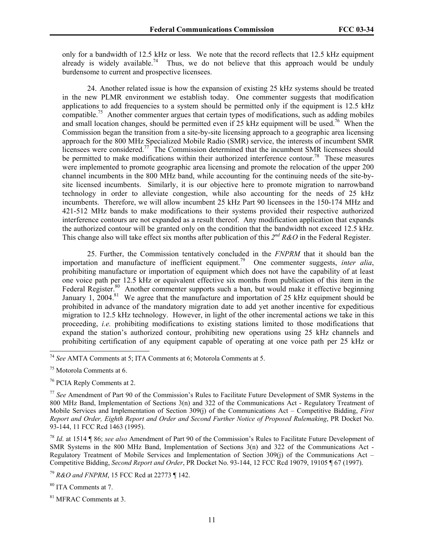only for a bandwidth of 12.5 kHz or less. We note that the record reflects that 12.5 kHz equipment  $\frac{1}{2}$  already is widely available.<sup>74</sup> Thus, we do not believe that this approach would be unduly burdensome to current and prospective licensees.

24. Another related issue is how the expansion of existing 25 kHz systems should be treated in the new PLMR environment we establish today. One commenter suggests that modification applications to add frequencies to a system should be permitted only if the equipment is 12.5 kHz compatible.<sup>75</sup> Another commenter argues that certain types of modifications, such as adding mobiles and small location changes, should be permitted even if 25 kHz equipment will be used.<sup>76</sup> When the Commission began the transition from a site-by-site licensing approach to a geographic area licensing approach for the 800 MHz Specialized Mobile Radio (SMR) service, the interests of incumbent SMR licensees were considered.<sup>77</sup> The Commission determined that the incumbent SMR licensees should be permitted to make modifications within their authorized interference contour.<sup>78</sup> These measures were implemented to promote geographic area licensing and promote the relocation of the upper 200 channel incumbents in the 800 MHz band, while accounting for the continuing needs of the site-bysite licensed incumbents. Similarly, it is our objective here to promote migration to narrowband technology in order to alleviate congestion, while also accounting for the needs of 25 kHz incumbents. Therefore, we will allow incumbent 25 kHz Part 90 licensees in the 150-174 MHz and 421-512 MHz bands to make modifications to their systems provided their respective authorized interference contours are not expanded as a result thereof. Any modification application that expands the authorized contour will be granted only on the condition that the bandwidth not exceed 12.5 kHz. This change also will take effect six months after publication of this *2nd R&O* in the Federal Register.

25. Further, the Commission tentatively concluded in the *FNPRM* that it should ban the importation and manufacture of inefficient equipment.79 One commenter suggests, *inter alia*, prohibiting manufacture or importation of equipment which does not have the capability of at least one voice path per 12.5 kHz or equivalent effective six months from publication of this item in the Federal Register.<sup>80</sup> Another commenter supports such a ban, but would make it effective beginning January 1, 2004.<sup>81</sup> We agree that the manufacture and importation of 25 kHz equipment should be prohibited in advance of the mandatory migration date to add yet another incentive for expeditious migration to 12.5 kHz technology. However, in light of the other incremental actions we take in this proceeding, *i.e.* prohibiting modifications to existing stations limited to those modifications that expand the station's authorized contour, prohibiting new operations using 25 kHz channels and prohibiting certification of any equipment capable of operating at one voice path per 25 kHz or

<sup>74</sup> *See* AMTA Comments at 5; ITA Comments at 6; Motorola Comments at 5.

<sup>75</sup> Motorola Comments at 6.

<sup>76</sup> PCIA Reply Comments at 2.

<sup>77</sup> *See* Amendment of Part 90 of the Commission's Rules to Facilitate Future Development of SMR Systems in the 800 MHz Band, Implementation of Sections 3(n) and 322 of the Communications Act - Regulatory Treatment of Mobile Services and Implementation of Section 309(j) of the Communications Act – Competitive Bidding, *First Report and Order, Eighth Report and Order and Second Further Notice of Proposed Rulemaking*, PR Docket No. 93-144, 11 FCC Rcd 1463 (1995).

<sup>78</sup> *Id*. at 1514 ¶ 86; *see also* Amendment of Part 90 of the Commission's Rules to Facilitate Future Development of SMR Systems in the 800 MHz Band, Implementation of Sections 3(n) and 322 of the Communications Act - Regulatory Treatment of Mobile Services and Implementation of Section 309(j) of the Communications Act – Competitive Bidding, *Second Report and Order*, PR Docket No. 93-144, 12 FCC Rcd 19079, 19105 ¶ 67 (1997).

<sup>79</sup> *R&O and FNPRM*, 15 FCC Rcd at 22773 ¶ 142.

<sup>80</sup> ITA Comments at 7.

<sup>81</sup> MFRAC Comments at 3.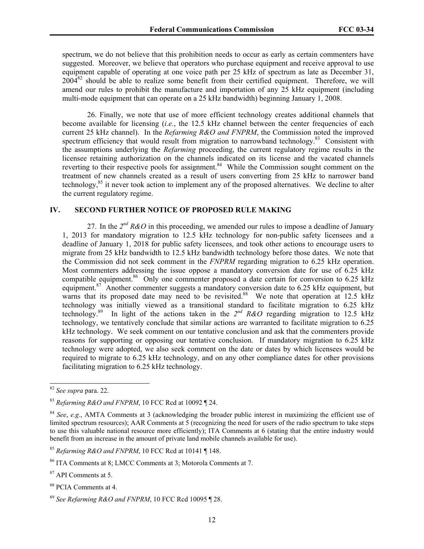spectrum, we do not believe that this prohibition needs to occur as early as certain commenters have suggested. Moreover, we believe that operators who purchase equipment and receive approval to use equipment capable of operating at one voice path per 25 kHz of spectrum as late as December 31,  $2004^{82}$  should be able to realize some benefit from their certified equipment. Therefore, we will amend our rules to prohibit the manufacture and importation of any 25 kHz equipment (including multi-mode equipment that can operate on a 25 kHz bandwidth) beginning January 1, 2008.

26. Finally, we note that use of more efficient technology creates additional channels that become available for licensing *(i.e., the 12.5 kHz channel between the center frequencies of each* current 25 kHz channel). In the *Refarming R&O and FNPRM*, the Commission noted the improved spectrum efficiency that would result from migration to narrowband technology.<sup>83</sup> Consistent with the assumptions underlying the *Refarming* proceeding, the current regulatory regime results in the licensee retaining authorization on the channels indicated on its license and the vacated channels reverting to their respective pools for assignment.<sup>84</sup> While the Commission sought comment on the treatment of new channels created as a result of users converting from 25 kHz to narrower band technology,<sup>85</sup> it never took action to implement any of the proposed alternatives. We decline to alter the current regulatory regime.

# **IV. SECOND FURTHER NOTICE OF PROPOSED RULE MAKING**

27. In the 2<sup>nd</sup> R&O in this proceeding, we amended our rules to impose a deadline of January 1, 2013 for mandatory migration to 12.5 kHz technology for non-public safety licensees and a deadline of January 1, 2018 for public safety licensees, and took other actions to encourage users to migrate from 25 kHz bandwidth to 12.5 kHz bandwidth technology before those dates. We note that the Commission did not seek comment in the *FNPRM* regarding migration to 6.25 kHz operation. Most commenters addressing the issue oppose a mandatory conversion date for use of 6.25 kHz compatible equipment.<sup>86</sup> Only one commenter proposed a date certain for conversion to 6.25 kHz equipment.<sup>87</sup> Another commenter suggests a mandatory conversion date to 6.25 kHz equipment, but warns that its proposed date may need to be revisited.<sup>88</sup> We note that operation at 12.5 kHz technology was initially viewed as a transitional standard to facilitate migration to 6.25 kHz technology.<sup>89</sup> In light of the actions taken in the  $2^{nd}$  R&O regarding migration to 12.5 kHz technology, we tentatively conclude that similar actions are warranted to facilitate migration to 6.25 kHz technology. We seek comment on our tentative conclusion and ask that the commenters provide reasons for supporting or opposing our tentative conclusion. If mandatory migration to 6.25 kHz technology were adopted, we also seek comment on the date or dates by which licensees would be required to migrate to 6.25 kHz technology, and on any other compliance dates for other provisions facilitating migration to 6.25 kHz technology.

<sup>82</sup> *See supra* para. 22.

<sup>83</sup> *Refarming R&O and FNPRM*, 10 FCC Rcd at 10092 ¶ 24.

<sup>84</sup> *See*, *e.g.*, AMTA Comments at 3 (acknowledging the broader public interest in maximizing the efficient use of limited spectrum resources); AAR Comments at 5 (recognizing the need for users of the radio spectrum to take steps to use this valuable national resource more efficiently); ITA Comments at 6 (stating that the entire industry would benefit from an increase in the amount of private land mobile channels available for use).

<sup>85</sup> *Refarming R&O and FNPRM*, 10 FCC Rcd at 10141 ¶ 148.

<sup>86</sup> ITA Comments at 8; LMCC Comments at 3; Motorola Comments at 7.

<sup>87</sup> API Comments at 5.

<sup>88</sup> PCIA Comments at 4.

<sup>89</sup> *See Refarming R&O and FNPRM*, 10 FCC Rcd 10095 ¶ 28.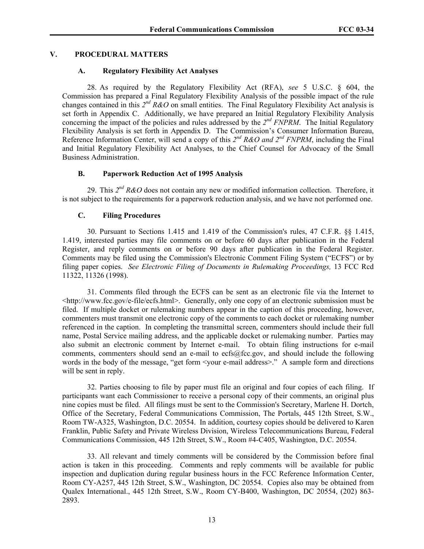## **V. PROCEDURAL MATTERS**

### **A. Regulatory Flexibility Act Analyses**

28. As required by the Regulatory Flexibility Act (RFA), *see* 5 U.S.C. § 604, the Commission has prepared a Final Regulatory Flexibility Analysis of the possible impact of the rule changes contained in this  $2^{nd}$  R&O on small entities. The Final Regulatory Flexibility Act analysis is set forth in Appendix C. Additionally, we have prepared an Initial Regulatory Flexibility Analysis concerning the impact of the policies and rules addressed by the *2nd FNPRM*. The Initial Regulatory Flexibility Analysis is set forth in Appendix D. The Commission's Consumer Information Bureau, Reference Information Center, will send a copy of this 2<sup>nd</sup> R&O and 2<sup>nd</sup> FNPRM, including the Final and Initial Regulatory Flexibility Act Analyses, to the Chief Counsel for Advocacy of the Small Business Administration.

## **B. Paperwork Reduction Act of 1995 Analysis**

29. This *2nd R&O* does not contain any new or modified information collection. Therefore, it is not subject to the requirements for a paperwork reduction analysis, and we have not performed one.

#### **C. Filing Procedures**

30. Pursuant to Sections 1.415 and 1.419 of the Commission's rules, 47 C.F.R. §§ 1.415, 1.419, interested parties may file comments on or before 60 days after publication in the Federal Register, and reply comments on or before 90 days after publication in the Federal Register. Comments may be filed using the Commission's Electronic Comment Filing System ("ECFS") or by filing paper copies. *See Electronic Filing of Documents in Rulemaking Proceedings,* 13 FCC Rcd 11322, 11326 (1998).

31. Comments filed through the ECFS can be sent as an electronic file via the Internet to <http://www.fcc.gov/e-file/ecfs.html>. Generally, only one copy of an electronic submission must be filed. If multiple docket or rulemaking numbers appear in the caption of this proceeding, however, commenters must transmit one electronic copy of the comments to each docket or rulemaking number referenced in the caption. In completing the transmittal screen, commenters should include their full name, Postal Service mailing address, and the applicable docket or rulemaking number. Parties may also submit an electronic comment by Internet e-mail. To obtain filing instructions for e-mail comments, commenters should send an e-mail to ecfs@fcc.gov, and should include the following words in the body of the message, "get form <your e-mail address>." A sample form and directions will be sent in reply.

32. Parties choosing to file by paper must file an original and four copies of each filing. If participants want each Commissioner to receive a personal copy of their comments, an original plus nine copies must be filed. All filings must be sent to the Commission's Secretary, Marlene H. Dortch, Office of the Secretary, Federal Communications Commission, The Portals, 445 12th Street, S.W., Room TW-A325, Washington, D.C. 20554. In addition, courtesy copies should be delivered to Karen Franklin, Public Safety and Private Wireless Division, Wireless Telecommunications Bureau, Federal Communications Commission, 445 12th Street, S.W., Room #4-C405, Washington, D.C. 20554.

33. All relevant and timely comments will be considered by the Commission before final action is taken in this proceeding. Comments and reply comments will be available for public inspection and duplication during regular business hours in the FCC Reference Information Center, Room CY-A257, 445 12th Street, S.W., Washington, DC 20554. Copies also may be obtained from Qualex International., 445 12th Street, S.W., Room CY-B400, Washington, DC 20554, (202) 863- 2893.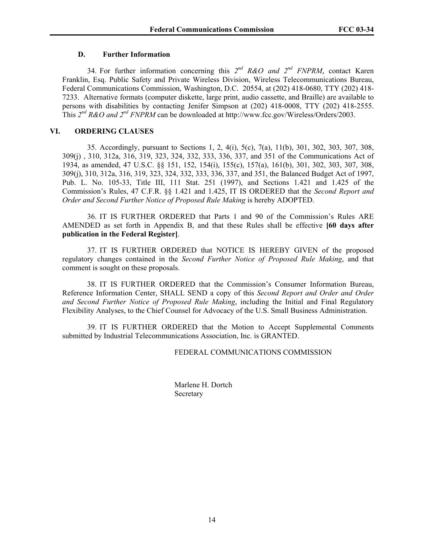### **D. Further Information**

34. For further information concerning this *2nd R&O and 2nd FNPRM*, contact Karen Franklin, Esq. Public Safety and Private Wireless Division, Wireless Telecommunications Bureau, Federal Communications Commission, Washington, D.C. 20554, at (202) 418-0680, TTY (202) 418- 7233. Alternative formats (computer diskette, large print, audio cassette, and Braille) are available to persons with disabilities by contacting Jenifer Simpson at (202) 418-0008, TTY (202) 418-2555. This 2<sup>nd</sup> R&O and 2<sup>nd</sup> FNPRM can be downloaded at http://www.fcc.gov/Wireless/Orders/2003.

### **VI. ORDERING CLAUSES**

35. Accordingly, pursuant to Sections 1, 2, 4(i), 5(c), 7(a), 11(b), 301, 302, 303, 307, 308, 309(j) , 310, 312a, 316, 319, 323, 324, 332, 333, 336, 337, and 351 of the Communications Act of 1934, as amended, 47 U.S.C. §§ 151, 152, 154(i), 155(c), 157(a), 161(b), 301, 302, 303, 307, 308, 309(j), 310, 312a, 316, 319, 323, 324, 332, 333, 336, 337, and 351, the Balanced Budget Act of 1997, Pub. L. No. 105-33, Title III, 111 Stat. 251 (1997), and Sections 1.421 and 1.425 of the Commission's Rules, 47 C.F.R. §§ 1.421 and 1.425, IT IS ORDERED that the *Second Report and Order and Second Further Notice of Proposed Rule Making* is hereby ADOPTED.

36. IT IS FURTHER ORDERED that Parts 1 and 90 of the Commission's Rules ARE AMENDED as set forth in Appendix B, and that these Rules shall be effective **[60 days after publication in the Federal Register]**.

37. IT IS FURTHER ORDERED that NOTICE IS HEREBY GIVEN of the proposed regulatory changes contained in the *Second Further Notice of Proposed Rule Making*, and that comment is sought on these proposals.

38. IT IS FURTHER ORDERED that the Commission's Consumer Information Bureau, Reference Information Center, SHALL SEND a copy of this *Second Report and Order and Order and Second Further Notice of Proposed Rule Making*, including the Initial and Final Regulatory Flexibility Analyses, to the Chief Counsel for Advocacy of the U.S. Small Business Administration.

39. IT IS FURTHER ORDERED that the Motion to Accept Supplemental Comments submitted by Industrial Telecommunications Association, Inc. is GRANTED.

## FEDERAL COMMUNICATIONS COMMISSION

 Marlene H. Dortch **Secretary**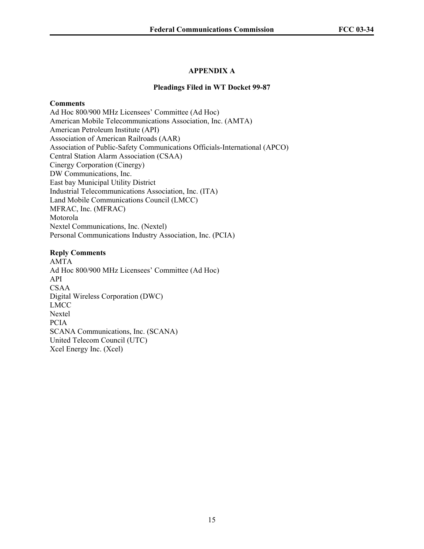# **APPENDIX A**

#### **Pleadings Filed in WT Docket 99-87**

#### **Comments**

Ad Hoc 800/900 MHz Licensees' Committee (Ad Hoc) American Mobile Telecommunications Association, Inc. (AMTA) American Petroleum Institute (API) Association of American Railroads (AAR) Association of Public-Safety Communications Officials-International (APCO) Central Station Alarm Association (CSAA) Cinergy Corporation (Cinergy) DW Communications, Inc. East bay Municipal Utility District Industrial Telecommunications Association, Inc. (ITA) Land Mobile Communications Council (LMCC) MFRAC, Inc. (MFRAC) Motorola Nextel Communications, Inc. (Nextel) Personal Communications Industry Association, Inc. (PCIA)

#### **Reply Comments**

AMTA Ad Hoc 800/900 MHz Licensees' Committee (Ad Hoc) API CSAA Digital Wireless Corporation (DWC) LMCC Nextel PCIA SCANA Communications, Inc. (SCANA) United Telecom Council (UTC) Xcel Energy Inc. (Xcel)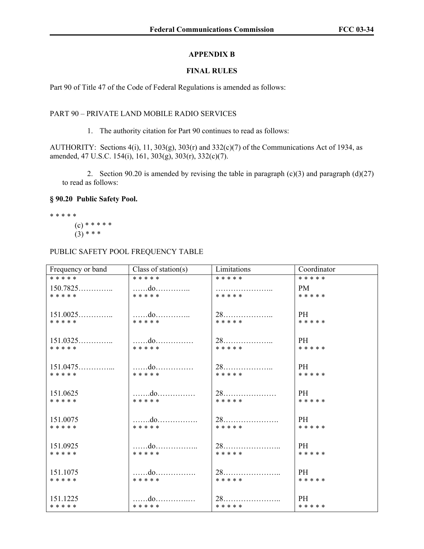## **APPENDIX B**

# **FINAL RULES**

Part 90 of Title 47 of the Code of Federal Regulations is amended as follows:

### PART 90 – PRIVATE LAND MOBILE RADIO SERVICES

1. The authority citation for Part 90 continues to read as follows:

AUTHORITY: Sections  $4(i)$ , 11, 303(g), 303(r) and 332(c)(7) of the Communications Act of 1934, as amended, 47 U.S.C. 154(i), 161, 303(g), 303(r), 332(c)(7).

2. Section 90.20 is amended by revising the table in paragraph  $(c)(3)$  and paragraph  $(d)(27)$ to read as follows:

## **§ 90.20 Public Safety Pool.**

\* \* \* \* \*  $(c)$  \* \* \* \* \*

$$
(3)***
$$

# PUBLIC SAFETY POOL FREQUENCY TABLE

| Frequency or band | Class of station(s) | Limitations | Coordinator |
|-------------------|---------------------|-------------|-------------|
| * * * * *         | * * * * *           | * * * * *   | * * * * *   |
| $150.7825$        |                     |             | PM -        |
| * * * * *         | * * * * *           | * * * * *   | * * * * *   |
|                   | do                  |             | PH -        |
| * * * * *         | * * * * *           | * * * * *   | * * * * *   |
| 151.0325          |                     |             | PH          |
| * * * * *         | * * * * *           | * * * * *   | * * * * *   |
| 151.0475          |                     |             | PH -        |
| * * * * *         | * * * * *           | * * * * *   | * * * * *   |
| 151.0625          |                     |             | PH -        |
| * * * * *         | * * * * *           | * * * * *   | * * * * *   |
| 151.0075          |                     |             | PH -        |
| * * * * *         | * * * * *           | * * * * *   | * * * * *   |
| 151.0925          |                     |             | PH -        |
| * * * * *         | * * * * *           | * * * * *   | * * * * *   |
| 151.1075          |                     |             | PH.         |
| * * * * *         | * * * * *           | * * * * *   | * * * * *   |
| 151.1225          |                     | $28$        | PH.         |
| * * * * *         | * * * * *           | * * * * *   | * * * * *   |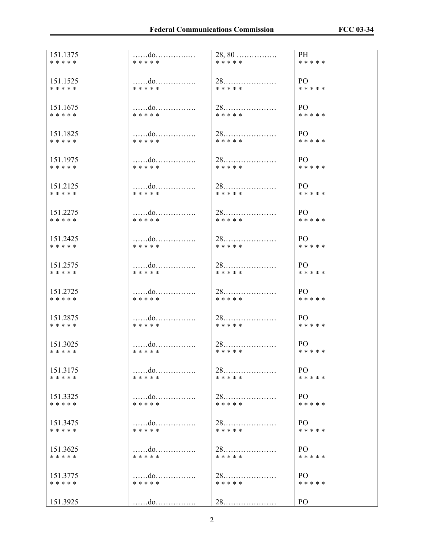| 151.1375  | do        | 28,80     | PH             |
|-----------|-----------|-----------|----------------|
| * * * * * | * * * * * | * * * * * | * * * * *      |
| 151.1525  | do        |           | PO -           |
| * * * * * | * * * * * | * * * * * | * * * * *      |
| 151.1675  | do        |           | PO -           |
| * * * * * | * * * * * | * * * * * | * * * * *      |
| 151.1825  | do        |           | PO -           |
| * * * * * | * * * * * | * * * * * | * * * * *      |
| 151.1975  |           |           | PO.            |
| * * * * * | * * * * * | * * * * * | * * * * *      |
| 151.2125  | do        |           | PO -           |
| * * * * * | * * * * * | * * * * * | * * * * *      |
| 151.2275  | do        |           | PO -           |
| * * * * * | * * * * * | * * * * * | * * * * *      |
| 151.2425  |           |           | P()            |
| * * * * * | * * * * * | * * * * * | * * * * *      |
| 151.2575  | do        |           | PO -           |
| * * * * * | * * * * * | * * * * * | * * * * *      |
| 151.2725  | do        |           | PO -           |
| * * * * * | * * * * * | * * * * * | * * * * *      |
| 151.2875  | do        |           | PO –           |
| * * * * * | * * * * * | * * * * * | * * * * *      |
| 151.3025  |           |           | PO -           |
| * * * * * | * * * * * | * * * * * | * * * * *      |
| 151.3175  | do        | $28$      | PO.            |
| * * * * * | * * * * * | * * * * * | * * * * *      |
| 151.3325  | do        |           | PO.            |
| * * * * * | * * * * * | * * * * * | * * * * *      |
| 151.3475  |           |           | P <sub>O</sub> |
| * * * * * | * * * * * | * * * * * | * * * * *      |
| 151.3625  | do        |           | PO.            |
| * * * * * | * * * * * | * * * * * | * * * * *      |
| 151.3775  | do        |           | PO.            |
| * * * * * | * * * * * | * * * * * | * * * * *      |
| 151.3925  | do        | $28$      | P <sub>O</sub> |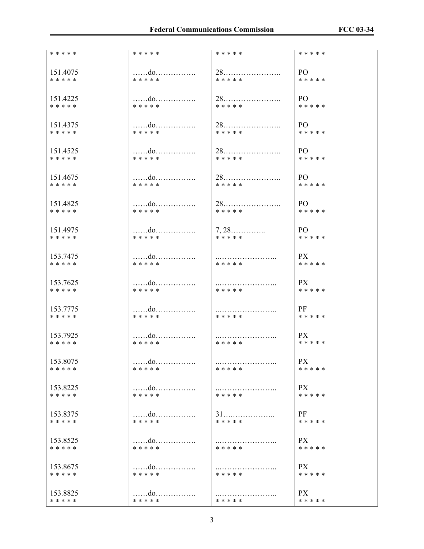| * * * * * | * * * * * | * * * * *       | * * * * * |
|-----------|-----------|-----------------|-----------|
| 151.4075  | do        |                 | PO        |
| * * * * * | * * * * * | * * * * *       | * * * * * |
| 151.4225  | do        |                 | P()       |
| * * * * * | * * * * * | * * * * *       | * * * * * |
| 151.4375  |           |                 | PO -      |
| * * * * * | * * * * * | * * * * *       | * * * * * |
| 151.4525  | do        |                 | PO -      |
| * * * * * | * * * * * | * * * * *       | * * * * * |
| 151.4675  |           |                 | PO -      |
| * * * * * | * * * * * | * * * * *       | * * * * * |
| 151.4825  |           |                 | PO -      |
| * * * * * | * * * * * | * * * * *       | * * * * * |
| 151.4975  | do        | $7, 28, \ldots$ | PO -      |
| * * * * * | * * * * * | * * * * *       | * * * * * |
| 153.7475  | do        |                 | PX        |
| * * * * * | * * * * * | * * * * *       | * * * * * |
| 153.7625  | do        |                 | PX -      |
| * * * * * | * * * * * | * * * * *       | * * * * * |
| 153.7775  | do        |                 | PF        |
| * * * * * | * * * * * | * * * * *       | * * * * * |
| 153.7925  |           |                 | PX —      |
| * * * * * | * * * * * | * * * * *       | * * * * * |
| 153.8075  | do        | * * * * *       | PX        |
| * * * * * | * * * * * |                 | * * * * * |
| 153.8225  | do        | .               | PX        |
| * * * * * | * * * * * | * * * * *       | * * * * * |
| 153.8375  | do        |                 | PF        |
| * * * * * | * * * * * | * * * * *       | * * * * * |
| 153.8525  |           |                 | <b>PX</b> |
| * * * * * | * * * * * | * * * * *       | * * * * * |
| 153.8675  | do        | * * * * *       | PX        |
| * * * * * | * * * * * |                 | * * * * * |
| 153.8825  | do        | * * * * *       | PX        |
| * * * * * | * * * * * |                 | * * * * * |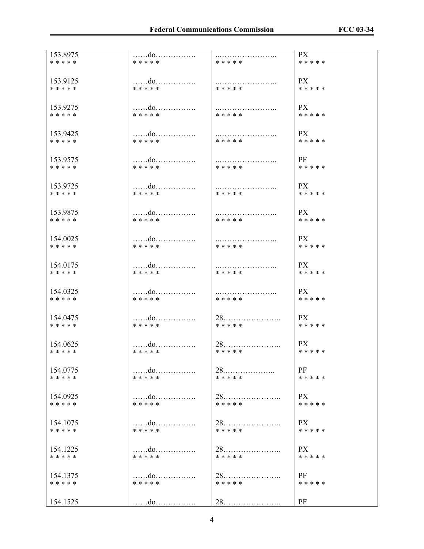| 153.8975  | do        |           | <b>PX</b> |
|-----------|-----------|-----------|-----------|
| * * * * * | * * * * * | * * * * * | * * * * * |
| 153.9125  | do        |           | PX        |
| * * * * * | * * * * * | * * * * * | * * * * * |
| 153.9275  | do        |           | PX        |
| * * * * * | * * * * * | * * * * * | * * * * * |
| 153.9425  | do        |           | PX        |
| * * * * * | * * * * * | * * * * * | * * * * * |
| 153.9575  | do        |           | PF        |
| * * * * * | * * * * * | * * * * * | * * * * * |
| 153.9725  | do        |           | PX        |
| * * * * * | * * * * * | * * * * * | * * * * * |
| 153.9875  |           |           | <b>PX</b> |
| * * * * * | * * * * * | * * * * * | * * * * * |
| 154.0025  | do        |           | PX        |
| * * * * * | * * * * * | * * * * * | * * * * * |
| 154.0175  |           |           | PX        |
| * * * * * | * * * * * | * * * * * | * * * * * |
| 154.0325  |           |           | PX        |
| * * * * * | * * * * * | * * * * * | * * * * * |
| 154.0475  | do        |           | PX        |
| * * * * * | * * * * * | * * * * * | * * * * * |
| 154.0625  |           |           | PX.       |
| * * * * * | * * * * * | * * * * * | * * * * * |
| 154.0775  | do        |           | PF        |
| * * * * * | * * * * * | * * * * * | * * * * * |
| 154.0925  | do        |           | PX        |
| * * * * * | * * * * * | * * * * * | * * * * * |
| 154.1075  |           |           | <b>PX</b> |
| * * * * * | * * * * * | * * * * * | * * * * * |
| 154.1225  | do        |           | PX        |
| * * * * * | * * * * * | * * * * * | * * * * * |
| 154.1375  | do        |           | PF        |
| * * * * * | * * * * * | * * * * * | * * * * * |
| 154.1525  | do        |           | PF        |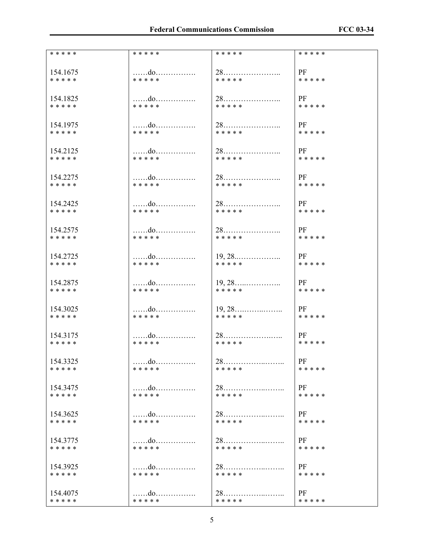| * * * * * | * * * * *         | * * * * *        | * * * * * |
|-----------|-------------------|------------------|-----------|
| 154.1675  | do                |                  | PF        |
| * * * * * | * * * * *         | * * * * *        | * * * * * |
| 154.1825  | do                |                  | PF        |
| * * * * * | * * * * *         | * * * * *        | * * * * * |
| 154.1975  | do                |                  | PF        |
| * * * * * | * * * * *         | * * * * *        | * * * * * |
| 154.2125  | do                |                  | PF        |
| * * * * * | * * * * *         | * * * * *        | * * * * * |
| 154.2275  | do                |                  | PF        |
| * * * * * | * * * * *         | * * * * *        | * * * * * |
| 154.2425  | do                |                  | PF        |
| * * * * * | * * * * *         | * * * * *        | * * * * * |
| 154.2575  | do                |                  | PF        |
| * * * * * | * * * * *         | * * * * *        | * * * * * |
| 154.2725  | do                |                  | PF        |
| * * * * * | * * * * *         | * * * * *        | * * * * * |
| 154.2875  | do                |                  | PF        |
| * * * * * | * * * * *         | * * * * *        | * * * * * |
| 154.3025  | do                | $19, 28, \ldots$ | PF        |
| * * * * * | * * * * *         | * * * * *        | * * * * * |
| 154.3175  | do                |                  | PF        |
| * * * * * | * * * * *         | * * * * *        | * * * * * |
| 154.3325  | $\dots \dots$ .do | $28$             | PF        |
| * * * * * | * * * * *         | * * * * *        | * * * * * |
| 154.3475  | do                |                  | PF        |
| * * * * * | * * * * *         | * * * * *        | * * * * * |
| 154.3625  | do                |                  | PF        |
| * * * * * | * * * * *         | * * * * *        | * * * * * |
| 154.3775  | do                |                  | PF        |
| * * * * * | * * * * *         | * * * * *        | * * * * * |
| 154.3925  | do                |                  | PF        |
| * * * * * | * * * * *         | * * * * *        | * * * * * |
| 154.4075  |                   |                  | PF        |
| * * * * * | * * * * *         | * * * * *        | * * * * * |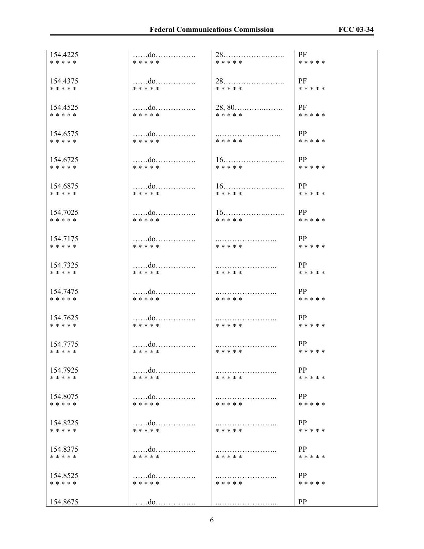| 154.4225  | do        |           | <b>PF</b> |
|-----------|-----------|-----------|-----------|
| * * * * * | * * * * * | * * * * * | * * * * * |
| 154.4375  | do        |           | PF        |
| * * * * * | * * * * * | * * * * * | * * * * * |
| 154.4525  | do        |           | PF        |
| * * * * * | * * * * * | * * * * * | * * * * * |
| 154.6575  | do        |           | PP        |
| * * * * * | * * * * * | * * * * * | * * * * * |
| 154.6725  | do        | $16$      | PP        |
| * * * * * | * * * * * | * * * * * | * * * * * |
| 154.6875  | do        |           | PP        |
| * * * * * | * * * * * | * * * * * | * * * * * |
| 154.7025  | do        |           | PP        |
| * * * * * | * * * * * | * * * * * | * * * * * |
| 154.7175  | do        |           | PP        |
| * * * * * | * * * * * | * * * * * | * * * * * |
| 154.7325  |           |           | PP        |
| * * * * * | * * * * * | * * * * * | * * * * * |
| 154.7475  |           |           | PP        |
| * * * * * | * * * * * | * * * * * | * * * * * |
| 154.7625  |           |           | PP        |
| * * * * * | * * * * * | * * * * * | * * * * * |
| 154 7775  |           |           | PP        |
| * * * * * | * * * * * | * * * * * | * * * * * |
| 154.7925  |           | * * * * * | PP        |
| * * * * * | * * * * * |           | * * * * * |
| 154.8075  |           | * * * * * | PP        |
| * * * * * | * * * * * |           | * * * * * |
| 154.8225  | do        |           | PP        |
| * * * * * | * * * * * | * * * * * | * * * * * |
| 154.8375  |           | * * * * * | PP        |
| * * * * * | * * * * * |           | * * * * * |
| 154.8525  | do        | * * * * * | PP        |
| * * * * * | * * * * * |           | * * * * * |
| 154.8675  | do        |           | PP        |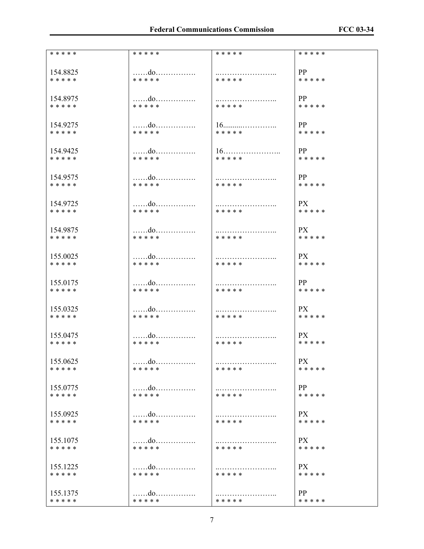| * * * * * | * * * * *         | * * * * * | * * * * * |
|-----------|-------------------|-----------|-----------|
| 154.8825  | do                |           | PP        |
| * * * * * | * * * * *         | * * * * * | * * * * * |
| 154.8975  | do                |           | PP        |
| * * * * * | * * * * *         | * * * * * | * * * * * |
| 154.9275  | do                |           | PP        |
| * * * * * | * * * * *         | * * * * * | * * * * * |
| 154.9425  | do                |           | PP        |
| * * * * * | * * * * *         | * * * * * | * * * * * |
| 154.9575  | do                |           | PP        |
| * * * * * | * * * * *         | * * * * * | * * * * * |
| 154.9725  |                   |           | PX        |
| * * * * * | * * * * *         | * * * * * | * * * * * |
| 154.9875  | do                |           | PX        |
| * * * * * | * * * * *         | * * * * * | * * * * * |
| 155.0025  | do                |           | PX        |
| * * * * * | * * * * *         | * * * * * | * * * * * |
| 155.0175  |                   |           | PP        |
| * * * * * | * * * * *         | * * * * * | * * * * * |
| 155.0325  | do                |           | PX        |
| * * * * * | * * * * *         | * * * * * | * * * * * |
| 155.0475  |                   |           | PX        |
| * * * * * | * * * * *         | * * * * * | * * * * * |
| 155.0625  | $\dots\dots d$ 0. | * * * * * | <b>PX</b> |
| * * * * * | * * * * *         |           | * * * * * |
| 155.0775  | do                | * * * * * | PP        |
| * * * * * | * * * * *         |           | * * * * * |
| 155.0925  |                   | * * * * * | PX        |
| * * * * * | * * * * *         |           | * * * * * |
| 155.1075  |                   |           | PX        |
| * * * * * | * * * * *         | * * * * * | * * * * * |
| 155.1225  |                   |           | <b>PX</b> |
| * * * * * | * * * * *         | * * * * * | * * * * * |
| 155.1375  | do                | * * * * * | PP        |
| * * * * * | * * * * *         |           | * * * * * |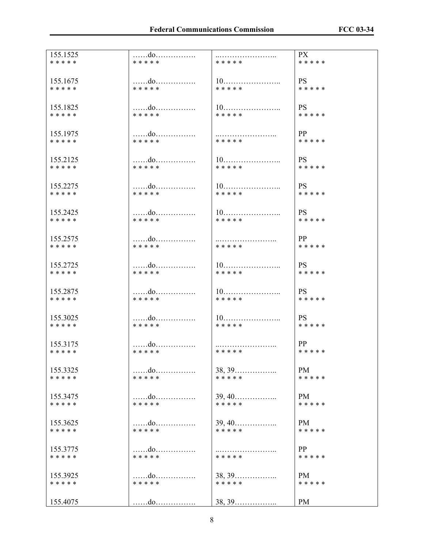| 155.1525              | do              |                                  | PX                     |
|-----------------------|-----------------|----------------------------------|------------------------|
| * * * * *             | * * * * *       | * * * * *                        | * * * * *              |
| 155.1675              | do<br>* * * * * | * * * * *                        | <b>PS</b>              |
| * * * * *<br>155.1825 | do              |                                  | * * * * *<br><b>PS</b> |
| * * * * *             | * * * * *       | * * * * *                        | * * * * *              |
| 155.1975              |                 |                                  | PP                     |
| * * * * *             | * * * * *       | * * * * *                        | * * * * *              |
| 155.2125              |                 |                                  | <b>PS</b>              |
| * * * * *             | * * * * *       | * * * * *                        | * * * * *              |
| 155.2275              |                 |                                  | <b>PS</b>              |
| * * * * *             | * * * * *       | * * * * *                        | * * * * *              |
| 155.2425              | do              |                                  | PS                     |
| * * * * *             | * * * * *       | * * * * *                        | * * * * *              |
| 155.2575              |                 |                                  | PP                     |
| * * * * *             | * * * * *       | * * * * *                        | * * * * *              |
| 155.2725              |                 |                                  | <b>PS</b>              |
| * * * * *             | * * * * *       | * * * * *                        | * * * * *              |
| 155.2875              | do              |                                  | <b>PS</b>              |
| * * * * *             | * * * * *       | * * * * *                        | * * * * *              |
| 155.3025              |                 |                                  | PS.                    |
| * * * * *             | * * * * *       | * * * * *                        | * * * * *              |
| 155 3175              |                 |                                  | PP                     |
| * * * * *             | * * * * *       | * * * * *                        | * * * * *              |
| 155.3325              | do              | 38, 39                           | PM                     |
| * * * * *             | * * * * *       | * * * * *                        | * * * * *              |
| 155.3475              |                 | $39, 40, \ldots, \ldots, \ldots$ | <b>PM</b>              |
| * * * * *             | * * * * *       | * * * * *                        | * * * * *              |
| 155.3625              | do              | $39, 40, \ldots, \ldots, \ldots$ | PM                     |
| * * * * *             | * * * * *       | * * * * *                        | * * * * *              |
| 155.3775              | do              |                                  | PP                     |
| * * * * *             | * * * * *       | * * * * *                        | * * * * *              |
| 155.3925              | do              | 38, 39                           | PM                     |
| * * * * *             | * * * * *       | * * * * *                        | * * * * *              |
| 155.4075              | do              | 38, 39                           | PM                     |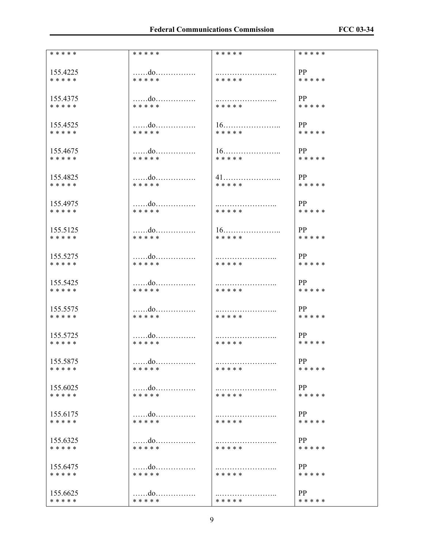| * * * * * | * * * * *         | * * * * * | * * * * * |
|-----------|-------------------|-----------|-----------|
| 155.4225  | do                |           | PP        |
| * * * * * | * * * * *         | * * * * * | * * * * * |
| 155.4375  | do                |           | PP        |
| * * * * * | * * * * *         | * * * * * | * * * * * |
| 155.4525  |                   |           | PP        |
| * * * * * | * * * * *         | * * * * * | * * * * * |
| 155.4675  | do                |           | PP        |
| * * * * * | * * * * *         | * * * * * | * * * * * |
| 155.4825  |                   |           | PP        |
| * * * * * | * * * * *         | * * * * * | * * * * * |
| 155.4975  |                   |           | PP        |
| * * * * * | * * * * *         | * * * * * | * * * * * |
| 155.5125  | do                |           | PP        |
| * * * * * | * * * * *         | * * * * * | * * * * * |
| 155.5275  |                   |           | PP        |
| * * * * * | * * * * *         | * * * * * | * * * * * |
| 155.5425  |                   |           | PP        |
| * * * * * | * * * * *         | * * * * * | * * * * * |
| 155.5575  |                   |           | PP        |
| * * * * * | * * * * *         | * * * * * | * * * * * |
| 155.5725  |                   |           | PP        |
| * * * * * | * * * * *         | * * * * * | * * * * * |
| 155.5875  | $\dots \dots$ .do | * * * * * | PP        |
| * * * * * | * * * * *         |           | * * * * * |
| 155.6025  | do                | * * * * * | PP        |
| * * * * * | * * * * *         |           | * * * * * |
| 155.6175  |                   | * * * * * | PP        |
| * * * * * | * * * * *         |           | * * * * * |
| 155.6325  | do                |           | PP        |
| * * * * * | * * * * *         | * * * * * | * * * * * |
| 155.6475  |                   | * * * * * | PP        |
| * * * * * | * * * * *         |           | * * * * * |
| 155.6625  | do                | * * * * * | PP        |
| * * * * * | * * * * *         |           | * * * * * |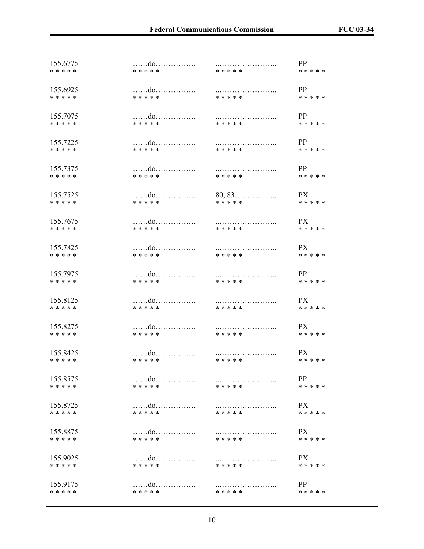| 155.6775  |           |           | PP        |
|-----------|-----------|-----------|-----------|
| * * * * * | * * * * * | * * * * * | * * * * * |
| 155.6925  | do        |           | PP        |
| * * * * * | * * * * * | * * * * * | * * * * * |
| 155.7075  | do        |           | PP        |
| * * * * * | * * * * * | * * * * * | * * * * * |
| 155.7225  | do        |           | PP        |
| * * * * * | * * * * * | * * * * * | * * * * * |
| 155.7375  | do        |           | PP        |
| * * * * * | * * * * * | * * * * * | * * * * * |
| 155.7525  | do        | $80, 83$  | PX —      |
| * * * * * | * * * * * | * * * * * | * * * * * |
| 155.7675  |           |           | PX        |
| * * * * * | * * * * * | * * * * * | * * * * * |
| 155.7825  | do        |           | PX        |
| * * * * * | * * * * * | * * * * * | * * * * * |
| 155.7975  | do        |           | PP        |
| * * * * * | * * * * * | * * * * * | * * * * * |
| 155.8125  | do        |           | PX        |
| * * * * * | * * * * * | * * * * * | * * * * * |
| 155.8275  | do        |           | PX        |
| * * * * * | * * * * * | * * * * * | * * * * * |
| 155.8425  | do        |           | PX        |
| * * * * * | * * * * * | * * * * * | * * * * * |
| 155.8575  | do        |           | PP        |
| * * * * * | * * * * * | * * * * * | * * * * * |
| 155.8725  | do        | * * * * * | PX        |
| * * * * * | * * * * * |           | * * * * * |
| 155.8875  |           | .         | PX —      |
| * * * * * | * * * * * | * * * * * | * * * * * |
| 155.9025  | do        |           | PX        |
| * * * * * | * * * * * | * * * * * | * * * * * |
| 155.9175  | do        | * * * * * | PP        |
| * * * * * | * * * * * |           | * * * * * |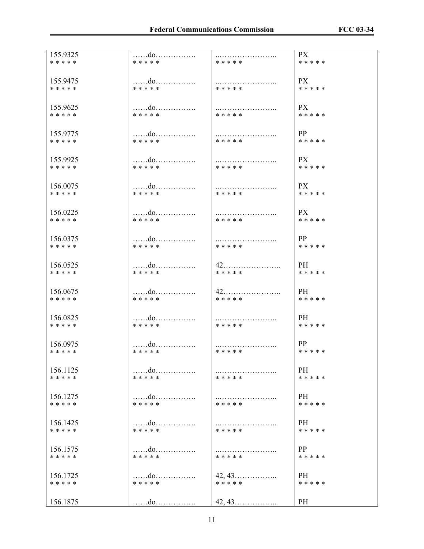| <b>PX</b><br><br>* * * * *<br>* * * * * | <b>PX</b><br>* * * * *<br>* * * * * | PX<br><br>* * * * *<br>* * * * * | PP<br>* * * * *<br>* * * * * | PX =<br>* * * * *<br>* * * * * | PX.<br>* * * * *<br>* * * * * | PX<br>* * * * *<br>* * * * * | PP<br>* * * * *<br>* * * * * | PH<br>* * * * *<br>* * * * * | PH<br>* * * * *<br>* * * * * | <b>PH</b><br>* * * * *<br>* * * * * | PP<br>* * * * *<br>* * * * * | PH<br>* * * * *<br>* * * * * | PH<br>* * * * *<br>* * * * * | PH<br>* * * * *<br>* * * * * | PP<br>* * * * *<br>* * * * * | $42, 43, \ldots, \ldots, \ldots, \ldots$<br><b>PH</b><br>* * * * *<br>* * * * * |  |
|-----------------------------------------|-------------------------------------|----------------------------------|------------------------------|--------------------------------|-------------------------------|------------------------------|------------------------------|------------------------------|------------------------------|-------------------------------------|------------------------------|------------------------------|------------------------------|------------------------------|------------------------------|---------------------------------------------------------------------------------|--|
| do                                      |                                     | do                               | do                           | do                             | do                            | do                           |                              | do                           |                              |                                     |                              |                              | do                           | do                           |                              |                                                                                 |  |
| * * * * *                               | * * * * *                           | * * * * *                        | * * * * *                    | * * * * *                      | * * * * *                     | * * * * *                    | * * * * *                    | * * * * *                    | * * * * *                    | * * * * *                           | * * * * *                    | * * * * *                    | * * * * *                    | * * * * *                    | * * * * *                    | * * * * *                                                                       |  |
| 155.9325                                | 155.9475                            | 155.9625                         | 155.9775                     | 155.9925                       | 156.0075                      | 156.0225                     | 156.0375                     | 156.0525                     | 156.0675                     | 156.0825                            | 156.0975                     | 156.1125                     | 156.1275                     | 156.1425                     | 156.1575                     | 156.1725                                                                        |  |
| * * * * *                               | * * * * *                           | * * * * *                        | * * * * *                    | * * * * *                      | * * * * *                     | * * * * *                    | * * * * *                    | * * * * *                    | * * * * *                    | * * * * *                           | * * * * *                    | * * * * *                    | * * * * *                    | * * * * *                    | * * * * *                    | * * * * *                                                                       |  |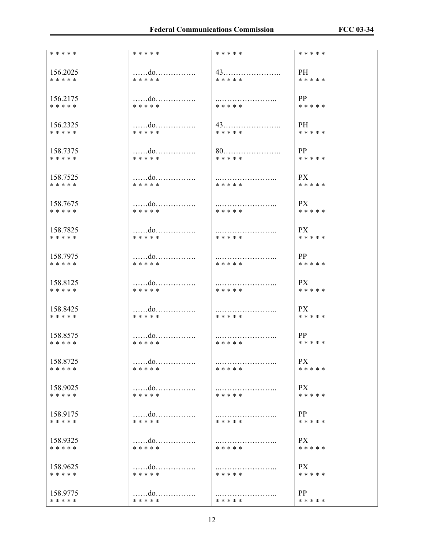| * * * * * | * * * * *         | * * * * * | * * * * * |
|-----------|-------------------|-----------|-----------|
| 156.2025  | do                |           | PH -      |
| * * * * * | * * * * *         | * * * * * | * * * * * |
| 156.2175  |                   |           | PP        |
| * * * * * | * * * * *         | * * * * * | * * * * * |
| 156.2325  | do                |           | <b>PH</b> |
| * * * * * | * * * * *         | * * * * * | * * * * * |
| 158.7375  | do                |           | PP        |
| * * * * * | * * * * *         | * * * * * | * * * * * |
| 158.7525  |                   |           | PX —      |
| * * * * * | * * * * *         | * * * * * | * * * * * |
| 158.7675  | do                |           | PX        |
| * * * * * | * * * * *         | * * * * * | * * * * * |
| 158.7825  | do                |           | PX -      |
| * * * * * | * * * * *         | * * * * * | * * * * * |
| 158.7975  | do                |           | PP        |
| * * * * * | * * * * *         | * * * * * | * * * * * |
| 158.8125  |                   |           | PX -      |
| * * * * * | * * * * *         | * * * * * | * * * * * |
| 158.8425  |                   |           | PX        |
| * * * * * | * * * * *         | * * * * * | * * * * * |
| 158.8575  |                   |           | PP        |
| * * * * * | * * * * *         | * * * * * | * * * * * |
| 158.8725  | $\dots\dots d$ 0. | * * * * * | PX        |
| * * * * * | * * * * *         |           | * * * * * |
| 158.9025  | do                | * * * * * | <b>PX</b> |
| * * * * * | * * * * *         |           | * * * * * |
| 158.9175  | do                | * * * * * | PP        |
| * * * * * | * * * * *         |           | * * * * * |
| 158.9325  |                   |           | PX        |
| * * * * * | * * * * *         | * * * * * | * * * * * |
| 158.9625  | do                | * * * * * | PX        |
| * * * * * | * * * * *         |           | * * * * * |
| 158.9775  | do                | * * * * * | PP        |
| * * * * * | * * * * *         |           | * * * * * |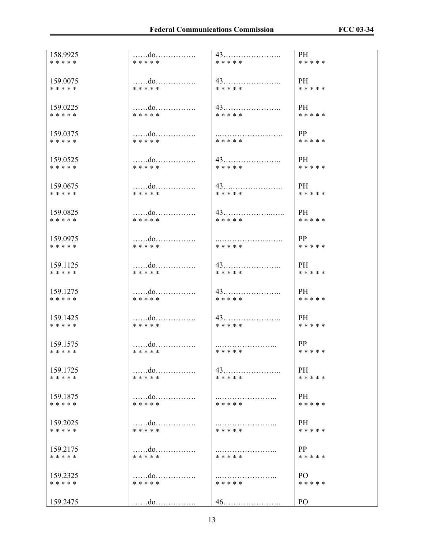| 158.9925  |           |           | PH              |
|-----------|-----------|-----------|-----------------|
| * * * * * | * * * * * | * * * * * | * * * * *       |
| 159.0075  | do        |           | <b>PH</b>       |
| * * * * * | * * * * * | * * * * * | * * * * *       |
| 159.0225  | do        |           | <b>PH</b>       |
| * * * * * | * * * * * | * * * * * | * * * * *       |
| 159.0375  | do        |           | PP              |
| * * * * * | * * * * * | * * * * * | * * * * *       |
| 159.0525  | do        |           | PH -            |
| * * * * * | * * * * * | * * * * * | * * * * *       |
| 159.0675  | do        |           | PH              |
| * * * * * | * * * * * | * * * * * | * * * * *       |
| 159.0825  | do        |           | <b>PH</b>       |
| * * * * * | * * * * * | * * * * * | * * * * *       |
| 159.0975  | do        |           | PP              |
| * * * * * | * * * * * | * * * * * | * * * * *       |
| 159.1125  | do        |           | PH              |
| * * * * * | * * * * * | * * * * * | * * * * *       |
| 159.1275  | do        |           | PH              |
| * * * * * | * * * * * | * * * * * | * * * * *       |
| 159.1425  | do        |           | PH -            |
| * * * * * | * * * * * | * * * * * | * * * * *       |
| 159.1575  |           |           | PP.             |
| * * * * * | * * * * * | * * * * * | * * * * *       |
| 159.1725  |           |           | PH -            |
| * * * * * | * * * * * | * * * * * | * * * * *       |
| 159.1875  | do        | * * * * * | PH.             |
| * * * * * | * * * * * |           | * * * * *       |
| 159.2025  |           |           | <b>PH</b>       |
| * * * * * | * * * * * | * * * * * | * * * * *       |
| 159.2175  |           | * * * * * | PP              |
| * * * * * | * * * * * |           | * * * * *       |
| 159.2325  | do        | * * * * * | PO <sub>1</sub> |
| * * * * * | * * * * * |           | * * * * *       |
| 159.2475  |           |           | P <sub>O</sub>  |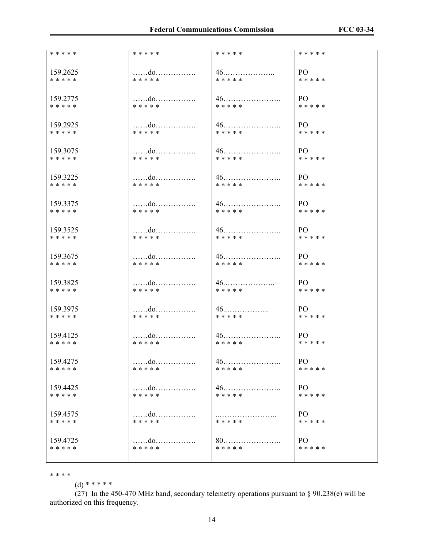| * * * * * | * * * * * | * * * * * | * * * * * |
|-----------|-----------|-----------|-----------|
| 159.2625  | do        |           | PO -      |
| * * * * * | * * * * * | * * * * * | * * * * * |
| 159.2775  | do        |           | PO -      |
| * * * * * | * * * * * | * * * * * | * * * * * |
| 159.2925  | do        |           | PO -      |
| * * * * * | * * * * * | * * * * * | * * * * * |
| 159.3075  | do        |           | PO –      |
| * * * * * | * * * * * | * * * * * | * * * * * |
| 159.3225  |           | $46$      | PO -      |
| * * * * * | * * * * * | * * * * * | * * * * * |
| 159.3375  | do        |           | PO -      |
| * * * * * | * * * * * | * * * * * | * * * * * |
| 159.3525  | do        |           | PO -      |
| * * * * * | * * * * * | * * * * * | * * * * * |
| 159.3675  | do        |           | PO.       |
| * * * * * | * * * * * | * * * * * | * * * * * |
| 159.3825  | do        |           | PO -      |
| * * * * * | * * * * * | * * * * * | * * * * * |
| 159.3975  | do        | $46$      | PO –      |
| * * * * * | * * * * * | * * * * * | * * * * * |
| 159.4125  |           |           | PO –      |
| * * * * * | * * * * * | * * * * * | * * * * * |
| 159.4275  | do        | 46        | PO        |
| * * * * * | * * * * * | * * * * * | * * * * * |
| 159.4425  | do        |           | PO.       |
| * * * * * | * * * * * | * * * * * | * * * * * |
| 159.4575  |           | .         | PO        |
| * * * * * | * * * * * | * * * * * | * * * * * |
| 159.4725  |           |           | PO        |
| * * * * * | * * * * * | * * * * * | * * * * * |
|           |           |           |           |

\* \* \* \*

 $(d)$  \* \* \* \* \*

(27) In the 450-470 MHz band, secondary telemetry operations pursuant to  $\S$  90.238(e) will be authorized on this frequency.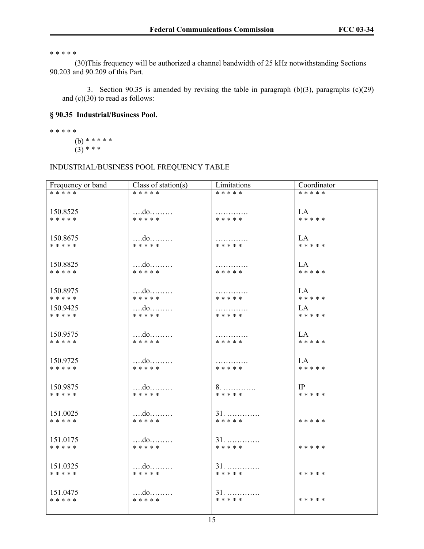\* \* \* \* \*

 (30)This frequency will be authorized a channel bandwidth of 25 kHz notwithstanding Sections 90.203 and 90.209 of this Part.

3. Section 90.35 is amended by revising the table in paragraph (b)(3), paragraphs (c)(29) and (c)(30) to read as follows:

# **§ 90.35 Industrial/Business Pool.**

\* \* \* \* \* (b) \* \* \* \* \*  $(3)$  \* \* \*

## INDUSTRIAL/BUSINESS POOL FREQUENCY TABLE

| Frequency or band     | Class of station(s) | Limitations        | Coordinator        |
|-----------------------|---------------------|--------------------|--------------------|
| * * * * *             | * * * * *           | * * * * *          | * * * * *          |
|                       |                     |                    |                    |
| 150.8525              | do                  | .                  | LA –               |
| * * * * *             | * * * * *           | * * * * *          | * * * * *          |
|                       |                     |                    |                    |
| 150.8675              | do                  |                    | LA                 |
| * * * * *             | * * * * *           | .<br>* * * * *     | * * * * *          |
|                       |                     |                    |                    |
|                       |                     |                    |                    |
| 150.8825              |                     | .                  | LA                 |
| * * * * *             | * * * * *           | * * * * *          | * * * * *          |
|                       |                     |                    |                    |
| 150.8975              | $\dots$             | .                  | LA                 |
| * * * * *             | * * * * *           | * * * * *          | * * * * *          |
| 150.9425              |                     | .                  | LA                 |
| * * * * *             | * * * * *           | * * * * *          | * * * * *          |
|                       |                     |                    |                    |
| 150.9575              | do                  |                    | LA                 |
| * * * * *             | * * * * *           | .<br>* * * * *     | * * * * *          |
|                       |                     |                    |                    |
|                       |                     |                    |                    |
| 150.9725              | $$ do<br>* * * * *  | .<br>* * * * *     | $L$ A<br>* * * * * |
| * * * * *             |                     |                    |                    |
|                       |                     |                    |                    |
| 150.9875              |                     | 8.                 | IP                 |
| * * * * *             | * * * * *           | * * * * *          | * * * * *          |
|                       |                     |                    |                    |
| 151.0025              | $$ do               | $31.$              |                    |
| * * * * *             | * * * * *           | * * * * *          | * * * * *          |
|                       |                     |                    |                    |
| 151.0175              |                     | 31.                |                    |
| * * * * *             | * * * * *           | * * * * *          | * * * * *          |
|                       |                     |                    |                    |
|                       |                     |                    |                    |
| 151.0325<br>* * * * * | * * * * *           | $31.$<br>* * * * * | * * * * *          |
|                       |                     |                    |                    |
|                       |                     |                    |                    |
| 151.0475              |                     | 31.                |                    |
| * * * * *             | * * * * *           | * * * * *          | * * * * *          |
|                       |                     |                    |                    |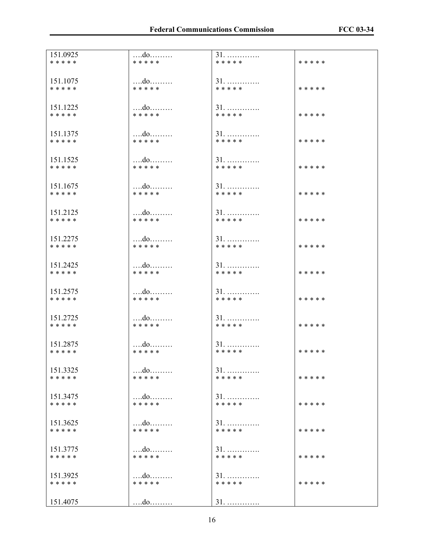| 151.0925  |               | 31.                        | * * * * * |
|-----------|---------------|----------------------------|-----------|
| * * * * * | * * * * *     | * * * * *                  |           |
| 151.1075  | do            | 31.                        | * * * * * |
| * * * * * | * * * * *     | * * * * *                  |           |
| 151.1225  | do            | $31.$                      | * * * * * |
| * * * * * | * * * * *     | * * * * *                  |           |
| 151.1375  | $\dots$       | $31.$                      | * * * * * |
| * * * * * | * * * * *     | * * * * *                  |           |
| 151.1525  |               | $31.$                      | * * * * * |
| * * * * * | * * * * *     | * * * * *                  |           |
| 151.1675  |               | $31.$                      | * * * * * |
| * * * * * | * * * * *     | * * * * *                  |           |
| 151.2125  |               | $31.$                      | * * * * * |
| * * * * * | * * * * *     | * * * * *                  |           |
| 151.2275  | do            | $31.$                      | * * * * * |
| * * * * * | * * * * *     | * * * * *                  |           |
| 151.2425  | do            | $31.$                      | * * * * * |
| * * * * * | * * * * *     | * * * * *                  |           |
| 151.2575  | do            | $31.$                      | * * * * * |
| * * * * * | * * * * *     | * * * * *                  |           |
| 151.2725  | do            | 31.                        | * * * * * |
| * * * * * | * * * * *     | * * * * *                  |           |
| 151.2875  | do            | $31.$                      | * * * * * |
| * * * * * | * * * * *     | * * * * *                  |           |
| 151.3325  | do            | $31. \ldots \ldots \ldots$ | * * * * * |
| * * * * * | * * * * *     | * * * * *                  |           |
| 151.3475  | $\dots$       | $31. \ldots \ldots \ldots$ | * * * * * |
| * * * * * | * * * * *     | * * * * *                  |           |
| 151.3625  |               | $31.$                      | * * * * * |
| * * * * * | * * * * *     | * * * * *                  |           |
| 151.3775  | $\dots$       | 31.                        | * * * * * |
| * * * * * | * * * * *     | * * * * *                  |           |
| 151.3925  |               | $31.$                      | * * * * * |
| * * * * * | * * * * *     | * * * * *                  |           |
| 151.4075  | $\dots$ $d$ 0 | $31.$                      |           |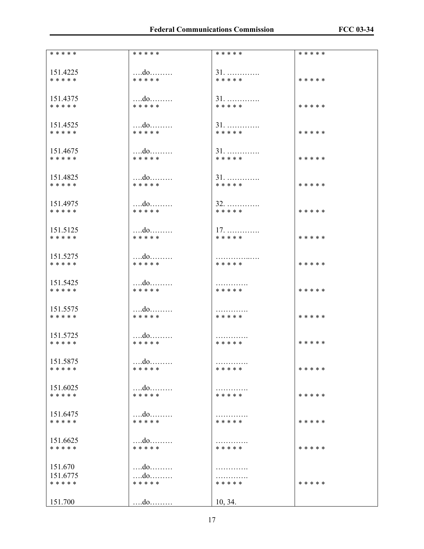| * * * * *             | * * * * *                  | * * * * * | * * * * * |
|-----------------------|----------------------------|-----------|-----------|
| 151.4225              |                            | $31.$     | * * * * * |
| * * * * *             | * * * * *                  | * * * * * |           |
| 151.4375              |                            | 31.       | * * * * * |
| * * * * *             | * * * * *                  | * * * * * |           |
| 151.4525              |                            | $31.$     | * * * * * |
| * * * * *             | * * * * *                  | * * * * * |           |
| 151.4675              |                            | $31.$     | * * * * * |
| * * * * *             | * * * * *                  | * * * * * |           |
| 151.4825              | do                         | $31.$     | * * * * * |
| * * * * *             | * * * * *                  | * * * * * |           |
| 151.4975              |                            | 32.       | * * * * * |
| * * * * *             | * * * * *                  | * * * * * |           |
| 151.5125              |                            | $17.$     | * * * * * |
| * * * * *             | * * * * *                  | * * * * * |           |
| 151.5275              | do                         | .         | * * * * * |
| * * * * *             | * * * * *                  | * * * * * |           |
| 151.5425              |                            | .         | * * * * * |
| * * * * *             | * * * * *                  | * * * * * |           |
| 151.5575              |                            | .         | * * * * * |
| * * * * *             | * * * * *                  | * * * * * |           |
| 151.5725              | do                         | .         | * * * * * |
| * * * * *             | * * * * *                  | * * * * * |           |
| 151.5875<br>* * * * * | * * * * *                  | * * * * * | * * * * * |
| 151.6025              |                            | .         | * * * * * |
| * * * * *             | * * * * *                  | * * * * * |           |
| 151.6475              |                            | .         | * * * * * |
| * * * * *             | * * * * *                  | * * * * * |           |
| 151.6625<br>* * * * * | $\dots$ $d$ 0<br>* * * * * | * * * * * | * * * * * |
| 151.670               |                            | .         | * * * * * |
| 151.6775              | do                         | .         |           |
| * * * * *             | * * * * *                  | * * * * * |           |
| 151.700               |                            | 10, 34.   |           |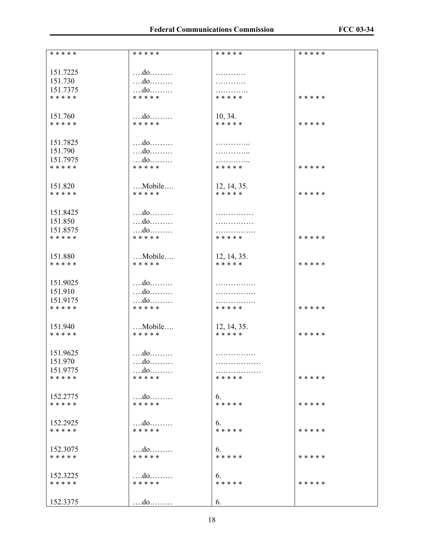| * * * * * | * * * * *              | * * * * *   | * * * * * |
|-----------|------------------------|-------------|-----------|
|           |                        |             |           |
| 151.7225  | do                     | .           |           |
| 151.730   | do                     | .           |           |
| 151.7375  | do                     | .           |           |
| * * * * * | * * * * *              | * * * * *   | * * * * * |
|           |                        |             |           |
| 151.760   | do                     | 10, 34.     |           |
| * * * * * | * * * * *              | * * * * *   | * * * * * |
|           |                        |             |           |
|           |                        |             |           |
| 151.7825  |                        | .           |           |
| 151.790   | $\dots$ $d$ o          | .           |           |
| 151.7975  |                        | .           |           |
| * * * * * | * * * * *              | * * * * *   | * * * * * |
|           |                        |             |           |
| 151.820   | $$ Mobile $$           | 12, 14, 35. |           |
| * * * * * | * * * * *              | * * * * *   | * * * * * |
|           |                        |             |           |
| 151.8425  | $\dots$ $d$ 0          |             |           |
| 151.850   |                        | .           |           |
|           |                        | .           |           |
| 151.8575  | do<br>* * * * *        | .           |           |
| * * * * * |                        | * * * * *   | * * * * * |
|           |                        |             |           |
| 151.880   | Mobile                 | 12, 14, 35. |           |
| * * * * * | * * * * *              | * * * * *   | * * * * * |
|           |                        |             |           |
| 151.9025  | do                     | .           |           |
| 151.910   |                        | .           |           |
| 151.9175  |                        | .           |           |
| * * * * * | * * * * *              | * * * * *   | * * * * * |
|           |                        |             |           |
| 151.940   | $\dots$ Mobile $\dots$ | 12, 14, 35. |           |
| * * * * * | * * * * *              | * * * * *   | * * * * * |
|           |                        |             |           |
|           |                        |             |           |
| 151.9625  | $\dots$ $d$ o          | .           |           |
| 151.970   |                        | .           |           |
| 151.9775  |                        | .           |           |
| * * * * * | * * * * *              | * * * * *   | * * * * * |
|           |                        |             |           |
| 152.2775  |                        | 6.          |           |
| * * * * * | * * * * *              | * * * * *   | * * * * * |
|           |                        |             |           |
| 152.2925  |                        | 6.          |           |
| * * * * * | * * * * *              | * * * * *   | * * * * * |
|           |                        |             |           |
| 152.3075  | $\dots$ $d$ 0          | 6.          |           |
| * * * * * | * * * * *              | * * * * *   | * * * * * |
|           |                        |             |           |
|           |                        |             |           |
| 152.3225  |                        | 6.          |           |
| * * * * * | * * * * *              | * * * * *   | * * * * * |
|           |                        |             |           |
| 152.3375  | do                     | 6.          |           |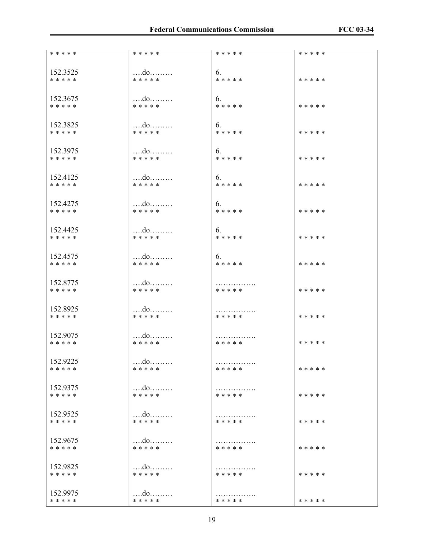| * * * * * | * * * * *     | * * * * * | * * * * * |
|-----------|---------------|-----------|-----------|
|           |               |           |           |
|           |               |           |           |
| 152.3525  | $\dots$ $d$ 0 | 6.        |           |
| * * * * * | * * * * *     | * * * * * | * * * * * |
|           |               |           |           |
|           |               |           |           |
| 152.3675  |               | 6.        |           |
| * * * * * | * * * * *     | * * * * * | * * * * * |
|           |               |           |           |
|           |               |           |           |
| 152.3825  |               | 6.        |           |
| * * * * * | * * * * *     | * * * * * | * * * * * |
|           |               |           |           |
|           |               |           |           |
| 152.3975  |               | 6.        |           |
| * * * * * | * * * * *     | * * * * * | * * * * * |
|           |               |           |           |
|           |               |           |           |
| 152.4125  |               | 6.        |           |
| * * * * * | * * * * *     | * * * * * | * * * * * |
|           |               |           |           |
|           |               |           |           |
| 152,4275  |               | 6.        |           |
| * * * * * | * * * * *     | * * * * * | * * * * * |
|           |               |           |           |
|           |               |           |           |
| 152.4425  |               | 6.        |           |
|           |               |           |           |
| * * * * * | * * * * *     | * * * * * | * * * * * |
|           |               |           |           |
|           |               |           |           |
| 152.4575  |               | 6.        |           |
| * * * * * | * * * * *     | * * * * * | * * * * * |
|           |               |           |           |
|           |               |           |           |
| 152.8775  | do            | .         |           |
| * * * * * | * * * * *     | * * * * * | * * * * * |
|           |               |           |           |
|           |               |           |           |
| 152.8925  |               | .         |           |
| * * * * * | * * * * *     | * * * * * | * * * * * |
|           |               |           |           |
|           |               |           |           |
| 152.9075  |               | .         |           |
| * * * * * | * * * * *     | * * * * * | * * * * * |
|           |               |           |           |
|           |               |           |           |
| 152.9225  | do            | .         |           |
| * * * * * | * * * * *     | * * * * * | * * * * * |
|           |               |           |           |
|           |               |           |           |
| 152.9375  |               | .         |           |
| * * * * * | * * * * *     | * * * * * | * * * * * |
|           |               |           |           |
|           |               |           |           |
| 152.9525  |               | .         |           |
| * * * * * | * * * * *     | * * * * * | * * * * * |
|           |               |           |           |
|           |               |           |           |
| 152.9675  | do            | .         |           |
| * * * * * | * * * * *     | * * * * * | * * * * * |
|           |               |           |           |
|           |               |           |           |
| 152.9825  | do            | .         |           |
| * * * * * | * * * * *     | * * * * * | * * * * * |
|           |               |           |           |
|           |               |           |           |
| 152.9975  |               | .         |           |
| * * * * * | * * * * *     | * * * * * | * * * * * |
|           |               |           |           |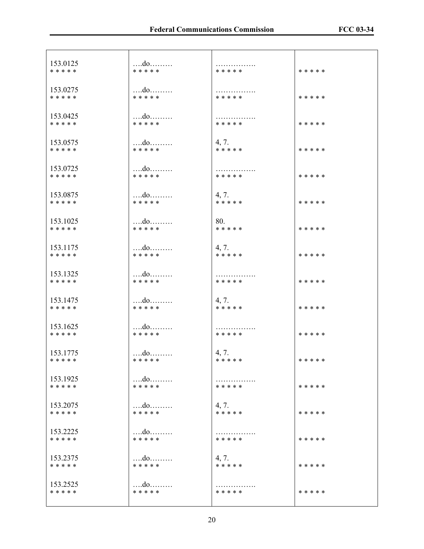| 153.0125              | $\dots$ $d$ 0              | .         | * * * * * |
|-----------------------|----------------------------|-----------|-----------|
| * * * * *             | * * * * *                  | * * * * * |           |
| 153.0275              | $$ do                      | .         | * * * * * |
| * * * * *             | * * * * *                  | * * * * * |           |
| 153.0425              |                            | .         | * * * * * |
| * * * * *             | * * * * *                  | * * * * * |           |
| 153.0575              |                            | 4, 7.     | * * * * * |
| * * * * *             | * * * * *                  | * * * * * |           |
| 153.0725<br>* * * * * | do<br>* * * * *            | * * * * * | * * * * * |
| 153.0875              |                            | 4, 7.     | * * * * * |
| * * * * *             | * * * * *                  | * * * * * |           |
| 153.1025              |                            | 80.       | * * * * * |
| * * * * *             | * * * * *                  | * * * * * |           |
| 153.1175              |                            | 4, 7.     | * * * * * |
| * * * * *             | * * * * *                  | * * * * * |           |
| 153.1325              | $$ do                      | .         | * * * * * |
| * * * * *             | * * * * *                  | * * * * * |           |
| 153.1475              |                            | 4, 7.     | * * * * * |
| * * * * *             | * * * * *                  | * * * * * |           |
| 153.1625<br>* * * * * | $\dots$ $d$ 0<br>* * * * * | * * * * * | * * * * * |
| 153.1775              | $\dots$ $d$ 0              | 4, 7.     | * * * * * |
| * * * * *             | * * * * *                  | * * * * * |           |
| 153.1925              |                            | .         | * * * * * |
| * * * * *             | * * * * *                  | * * * * * |           |
| 153.2075              | $\dots$ do $\dots\dots$    | 4, 7.     | * * * * * |
| * * * * *             | * * * * *                  | * * * * * |           |
| 153.2225              | $\dots$ do                 | .         | * * * * * |
| * * * * *             | * * * * *                  | * * * * * |           |
| 153.2375              |                            | 4, 7.     | * * * * * |
| * * * * *             | * * * * *                  | * * * * * |           |
| 153.2525              | $\dots$                    | .         | * * * * * |
| * * * * *             | * * * * *                  | * * * * * |           |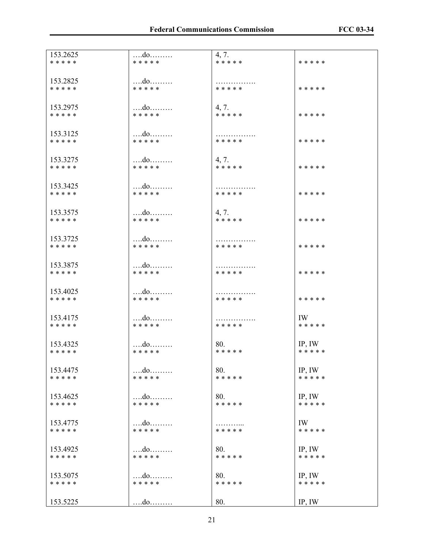| 153.2625              | do                 | 4, 7.     | * * * * * |
|-----------------------|--------------------|-----------|-----------|
| * * * * *             | * * * * *          | * * * * * |           |
| 153.2825              |                    | .         | * * * * * |
| * * * * *             | * * * * *          | * * * * * |           |
| 153.2975              |                    | 4, 7.     | * * * * * |
| * * * * *             | * * * * *          | * * * * * |           |
| 153.3125              |                    | .         | * * * * * |
| * * * * *             | * * * * *          | * * * * * |           |
| 153.3275              |                    | 4, 7.     | * * * * * |
| * * * * *             | * * * * *          | * * * * * |           |
| 153.3425              |                    | .         | * * * * * |
| * * * * *             | * * * * *          | * * * * * |           |
| 153.3575              |                    | 4, 7.     | * * * * * |
| * * * * *             | * * * * *          | * * * * * |           |
| 153.3725              |                    | .         | * * * * * |
| * * * * *             | * * * * *          | * * * * * |           |
| 153.3875<br>* * * * * | $$ do<br>* * * * * | * * * * * | * * * * * |
| 153.4025<br>* * * * * | do<br>* * * * *    | * * * * * | * * * * * |
| 153.4175              | do                 | .         | IW        |
| * * * * *             | * * * * *          | * * * * * | * * * * * |
| 153.4325              | do                 | 80.       | IP, IW    |
| * * * * *             | * * * * *          | * * * * * | * * * * * |
| 153.4475              | do                 | 80.       | IP, IW    |
| * * * * *             | * * * * *          | * * * * * | * * * * * |
| 153.4625              | do                 | 80.       | IP, IW    |
| * * * * *             | * * * * *          | * * * * * | * * * * * |
| 153.4775              | do                 | .         | IW        |
| * * * * *             | * * * * *          | * * * * * | * * * * * |
| 153.4925              |                    | 80.       | IP, IW    |
| * * * * *             | * * * * *          | * * * * * | * * * * * |
| 153.5075              |                    | 80.       | IP, IW    |
| * * * * *             | * * * * *          | * * * * * | * * * * * |
| 153.5225              | $\dots$ $d$ o      | 80.       | IP, IW    |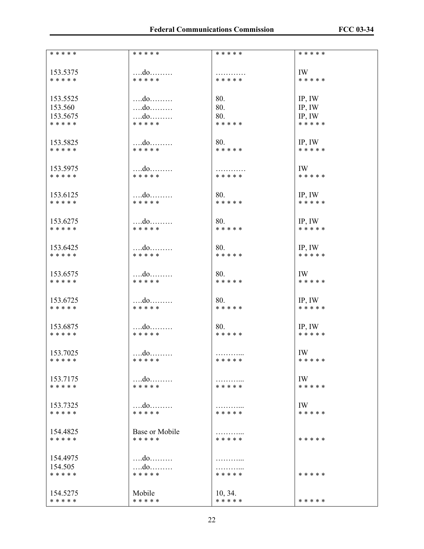| * * * * * | * * * * *      | * * * * *      | * * * * * |
|-----------|----------------|----------------|-----------|
|           |                |                |           |
|           |                |                |           |
| 153.5375  | $\dots$ $d$ 0  | .              | IW        |
| * * * * * | * * * * *      | * * * * *      | * * * * * |
|           |                |                |           |
|           |                |                |           |
| 153.5525  | $\dots$ $d$ 0  | 80.            | IP, IW    |
| 153.560   | $\dots$ $d$ 0  | 80.            | IP, IW    |
|           |                |                |           |
| 153.5675  | do             | 80.            | IP, IW    |
| * * * * * | * * * * *      | * * * * *      | * * * * * |
|           |                |                |           |
|           |                |                |           |
| 153.5825  | $\dots$ $d$ 0  | 80.            | IP, IW    |
| * * * * * | * * * * *      | * * * * *      | * * * * * |
|           |                |                |           |
|           |                |                |           |
| 153.5975  | $\dots$ $d$ 0  | .              | IW        |
| * * * * * | * * * * *      | * * * * *      | * * * * * |
|           |                |                |           |
|           |                |                |           |
| 153.6125  | $\dots$ $d$ 0  | 80.            | IP, IW    |
| * * * * * | * * * * *      | * * * * *      | * * * * * |
|           |                |                |           |
|           |                |                |           |
| 153.6275  |                | 80.            | IP, IW    |
| * * * * * | * * * * *      | * * * * *      | * * * * * |
|           |                |                |           |
|           |                |                |           |
| 153.6425  | do             | 80.            | IP, IW    |
| * * * * * | * * * * *      | * * * * *      | * * * * * |
|           |                |                |           |
|           |                |                |           |
| 153.6575  | do             | 80.            | IW        |
| * * * * * | * * * * *      | * * * * *      | * * * * * |
|           |                |                |           |
|           |                |                |           |
| 153.6725  |                | 80.            |           |
|           | $\dots$ $d$ 0  |                | IP, IW    |
| * * * * * | * * * * *      | * * * * *      | * * * * * |
|           |                |                |           |
|           |                |                |           |
| 153.6875  | $\dots$ $d$ 0  | 80.            | IP, IW    |
| * * * * * | * * * * *      | * * * * *      | * * * * * |
|           |                |                |           |
|           |                |                |           |
| 153.7025  |                | .              | IW        |
| * * * * * | * * * * *      | * * * * *      | * * * * * |
|           |                |                |           |
|           |                |                |           |
| 153.7175  |                | .              | IW        |
| * * * * * | * * * * *      | * * * * *      | * * * * * |
|           |                |                |           |
|           |                |                |           |
| 153.7325  |                | .              | IW        |
| * * * * * | * * * * *      | * * * * *      | * * * * * |
|           |                |                |           |
|           |                |                |           |
| 154.4825  | Base or Mobile | .              |           |
| * * * * * | * * * * *      | * * * * *      | * * * * * |
|           |                |                |           |
|           |                |                |           |
| 154.4975  |                | .              |           |
| 154.505   |                |                |           |
| * * * * * | * * * * *      | .<br>* * * * * | * * * * * |
|           |                |                |           |
|           |                |                |           |
| 154.5275  | Mobile         | 10, 34.        |           |
|           |                | * * * * *      |           |
| * * * * * | * * * * *      |                | * * * * * |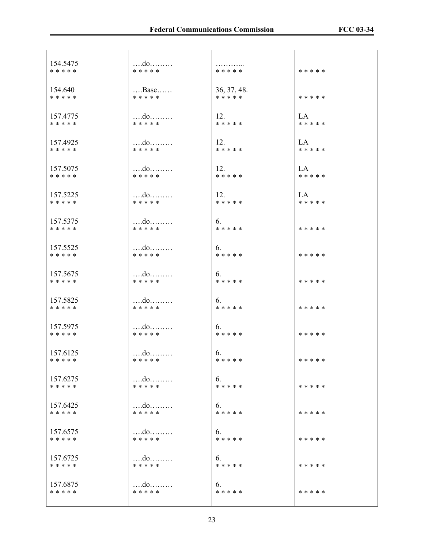| 154.5475  | $\dots$ $d$ 0           | .           | * * * * * |
|-----------|-------------------------|-------------|-----------|
| * * * * * | * * * * *               | * * * * *   |           |
| 154.640   | $$ Base                 | 36, 37, 48. | * * * * * |
| * * * * * | * * * * *               | * * * * *   |           |
| 157.4775  | do                      | 12.         | LA        |
| * * * * * | * * * * *               | * * * * *   | * * * * * |
| 157.4925  |                         | 12.         | LA        |
| * * * * * | * * * * *               | * * * * *   | * * * * * |
| 157.5075  |                         | 12.         | LA        |
| * * * * * | * * * * *               | * * * * *   | * * * * * |
| 157.5225  | $\dots$ $d$ 0           | 12.         | LA        |
| * * * * * | * * * * *               | * * * * *   | * * * * * |
| 157.5375  | $$ do                   | 6.          | * * * * * |
| * * * * * | * * * * *               | * * * * *   |           |
| 157.5525  | $$ do                   | 6.          | * * * * * |
| * * * * * | * * * * *               | * * * * *   |           |
| 157.5675  | $\dots$ $d$ 0           | 6.          | * * * * * |
| * * * * * | * * * * *               | * * * * *   |           |
| 157.5825  |                         | 6.          | * * * * * |
| * * * * * | * * * * *               | * * * * *   |           |
| 157.5975  | $\dots$ $d$ 0           | 6.          | * * * * * |
| * * * * * | * * * * *               | * * * * *   |           |
| 157.6125  | $\dots$ $d$ 0           | 6.          | * * * * * |
| * * * * * | * * * * *               | * * * * *   |           |
| 157.6275  | $\dots$ do $\dots\dots$ | 6.          | * * * * * |
| * * * * * | * * * * *               | * * * * *   |           |
| 157.6425  |                         | 6.          | * * * * * |
| * * * * * | * * * * *               | * * * * *   |           |
| 157.6575  | do                      | 6.          | * * * * * |
| * * * * * | * * * * *               | * * * * *   |           |
| 157.6725  | do                      | 6.          | * * * * * |
| * * * * * | * * * * *               | * * * * *   |           |
| 157.6875  | do                      | 6.          | * * * * * |
| * * * * * | * * * * *               | * * * * *   |           |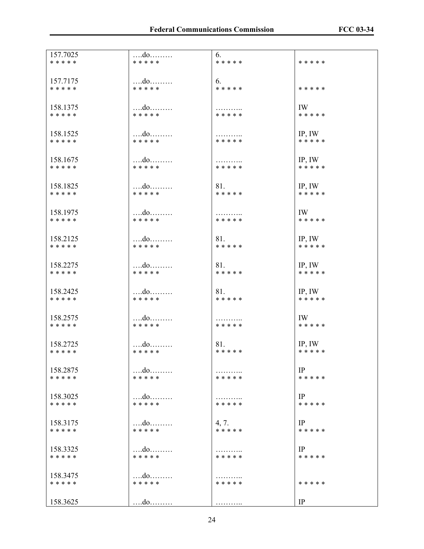| 157.7025              | do                    | 6.        | * * * * * |
|-----------------------|-----------------------|-----------|-----------|
| * * * * *             | * * * * *             | * * * * * |           |
| 157.7175              | do                    | 6.        | * * * * * |
| * * * * *             | * * * * *             | * * * * * |           |
| 158.1375              |                       | * * * * * | IW        |
| * * * * *             | * * * * *             |           | * * * * * |
| 158.1525              | $$ do                 | .         | IP, IW    |
| * * * * *             | * * * * *             | * * * * * | * * * * * |
| 158.1675              |                       | .         | IP, IW    |
| * * * * *             | * * * * *             | * * * * * | * * * * * |
| 158.1825              | $$ do                 | 81.       | IP, IW    |
| * * * * *             | * * * * *             | * * * * * | * * * * * |
| 158.1975              | $\dots$ $d$ 0         | .         | IW        |
| * * * * *             | * * * * *             | * * * * * | * * * * * |
| 158.2125              |                       | 81.       | IP, IW    |
| * * * * *             | * * * * *             | * * * * * | * * * * * |
| 158.2275              | do                    | 81.       | IP, IW    |
| * * * * *             | * * * * *             | * * * * * | * * * * * |
| 158.2425              |                       | 81.       | IP, IW    |
| * * * * *             | * * * * *             | * * * * * | * * * * * |
| 158.2575              | do                    | .         | IW        |
| * * * * *             | * * * * *             | * * * * * | * * * * * |
| 158.2725              | $\dots$ $d$ 0         | 81.       | IP, IW    |
| * * * * *             | * * * * *             | * * * * * | * * * * * |
| 158.2875              | do                    | * * * * * | IP        |
| * * * * *             | * * * * *             |           | * * * * * |
| 158.3025              |                       | * * * * * | IP        |
| * * * * *             | * * * * *             |           | * * * * * |
| 158.3175              | do                    | 4, 7.     | IP        |
| * * * * *             | * * * * *             | * * * * * | * * * * * |
| 158.3325              | do                    | .         | IP        |
| * * * * *             | * * * * *             | * * * * * | * * * * * |
| 158.3475<br>* * * * * | do<br>* * * * *       | * * * * * | * * * * * |
| 158.3625              | $\dots$ $d$ o $\dots$ | .         | IP        |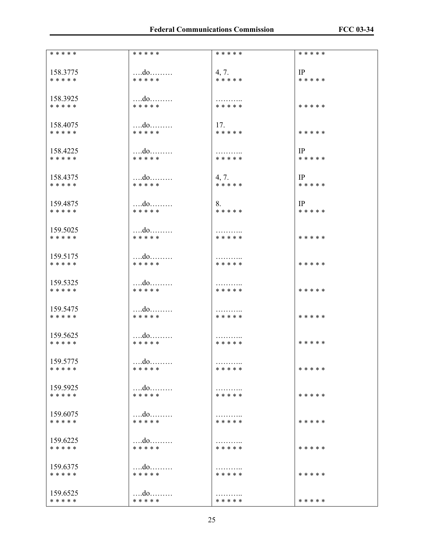| * * * * *             | * * * * *     | * * * * *      | * * * * * |
|-----------------------|---------------|----------------|-----------|
|                       |               |                |           |
| 158.3775              | $$ do         | 4, 7.          | IP        |
| * * * * *             | * * * * *     | * * * * *      | * * * * * |
|                       |               |                |           |
|                       |               |                |           |
| 158.3925              |               |                |           |
| * * * * *             | * * * * *     | * * * * *      | * * * * * |
|                       |               |                |           |
|                       |               |                |           |
| 158.4075              | do            | 17.            |           |
| * * * * *             | * * * * *     | * * * * *      | * * * * * |
|                       |               |                |           |
| 158.4225              |               | .              | IP        |
| * * * * *             | * * * * *     | * * * * *      | * * * * * |
|                       |               |                |           |
|                       |               |                |           |
| 158.4375              | $\dots$ $d$ 0 | 4, 7.          | IP        |
| * * * * *             | * * * * *     | * * * * *      | * * * * * |
|                       |               |                |           |
| 159.4875              | $$ do         | 8.             | IP        |
| * * * * *             | * * * * *     | * * * * *      | * * * * * |
|                       |               |                |           |
|                       |               |                |           |
| 159.5025              |               | .              |           |
| * * * * *             | * * * * *     | * * * * *      | * * * * * |
|                       |               |                |           |
| 159.5175              | do            | .              |           |
| * * * * *             | * * * * *     | * * * * *      | * * * * * |
|                       |               |                |           |
|                       |               |                |           |
| 159.5325              |               | .              |           |
| * * * * *             | * * * * *     | * * * * *      | * * * * * |
|                       |               |                |           |
| 159.5475              | $\dots$ $d$ 0 | .              |           |
| * * * * *             | * * * * *     | * * * * *      | * * * * * |
|                       |               |                |           |
|                       |               |                |           |
| 159.5625<br>* * * * * | * * * * *     | .              |           |
|                       |               | * * * * *      | * * * * * |
|                       |               |                |           |
| 159.5775              | do            | .              |           |
| * * * * *             | * * * * *     | * * * * *      | * * * * * |
|                       |               |                |           |
| 159.5925              |               |                |           |
| * * * * *             | * * * * *     | .<br>* * * * * | * * * * * |
|                       |               |                |           |
|                       |               |                |           |
| 159.6075              |               | .              |           |
| * * * * *             | * * * * *     | * * * * *      | * * * * * |
|                       |               |                |           |
| 159.6225              |               |                |           |
| * * * * *             | * * * * *     | .<br>* * * * * | * * * * * |
|                       |               |                |           |
|                       |               |                |           |
| 159.6375              | $\dots$ $d$ 0 | .              |           |
| * * * * *             | * * * * *     | * * * * *      | * * * * * |
|                       |               |                |           |
| 159.6525              |               |                |           |
| * * * * *             | * * * * *     | .<br>* * * * * | * * * * * |
|                       |               |                |           |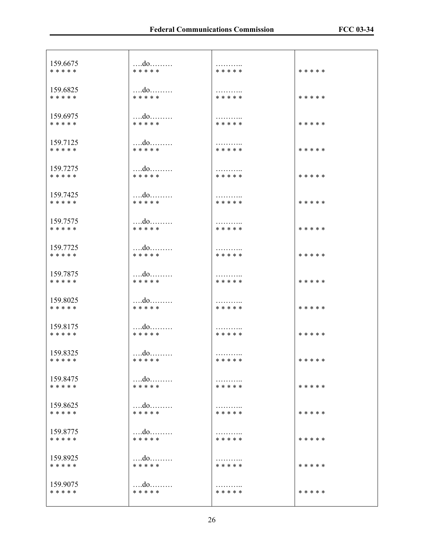| 159.6675  | $\dots$ $d$ 0        | .         | * * * * * |
|-----------|----------------------|-----------|-----------|
| * * * * * | * * * * *            | * * * * * |           |
| 159.6825  | $\dots$ $d$ 0        | .         | * * * * * |
| * * * * * | * * * * *            | * * * * * |           |
| 159.6975  |                      | .         | * * * * * |
| * * * * * | * * * * *            | * * * * * |           |
| 159.7125  | do                   | .         | * * * * * |
| * * * * * | * * * * *            | * * * * * |           |
| 159.7275  |                      | .         | * * * * * |
| * * * * * | * * * * *            | * * * * * |           |
| 159.7425  |                      | .         | * * * * * |
| * * * * * | * * * * *            | * * * * * |           |
| 159.7575  |                      | .         | * * * * * |
| * * * * * | * * * * *            | * * * * * |           |
| 159.7725  | do                   | .         | * * * * * |
| * * * * * | * * * * *            | * * * * * |           |
| 159.7875  | do                   | .         | * * * * * |
| * * * * * | * * * * *            | * * * * * |           |
| 159.8025  | do                   | .         | * * * * * |
| * * * * * | * * * * *            | * * * * * |           |
| 159.8175  | do                   | .         | * * * * * |
| * * * * * | * * * * *            | * * * * * |           |
| 159.8325  | do                   | .         | * * * * * |
| * * * * * | * * * * *            | * * * * * |           |
| 159.8475  | do                   | .         | * * * * * |
| * * * * * | * * * * *            | * * * * * |           |
| 159.8625  |                      | .         | * * * * * |
| * * * * * | * * * * *            | * * * * * |           |
| 159.8775  | $\ldots$ do $\ldots$ | .         | * * * * * |
| * * * * * | * * * * *            | * * * * * |           |
| 159.8925  | do                   | .         | * * * * * |
| * * * * * | * * * * *            | * * * * * |           |
| 159.9075  | do                   | .         | * * * * * |
| * * * * * | * * * * *            | * * * * * |           |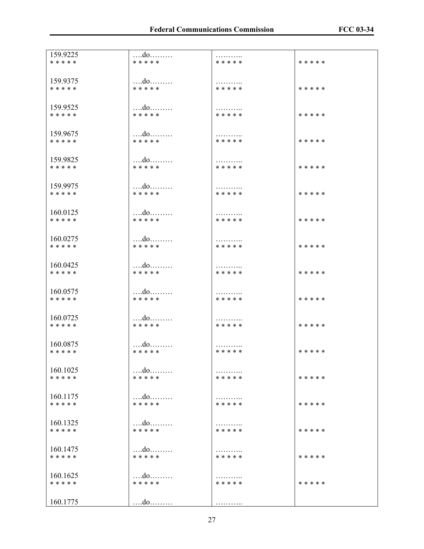| 159.9225              | do              | .         | * * * * * |
|-----------------------|-----------------|-----------|-----------|
| * * * * *             | * * * * *       | * * * * * |           |
| 159.9375              | $\dots$         | .         | * * * * * |
| * * * * *             | * * * * *       | * * * * * |           |
| 159.9525<br>* * * * * | do<br>* * * * * | * * * * * | * * * * * |
| 159.9675              | do              | .         | * * * * * |
| * * * * *             | * * * * *       | * * * * * |           |
| 159.9825              | do              | .         | * * * * * |
| * * * * *             | * * * * *       | * * * * * |           |
| 159.9975              | do              | .         | * * * * * |
| * * * * *             | * * * * *       | * * * * * |           |
| 160.0125              | $\dots$         | .         | * * * * * |
| * * * * *             | * * * * *       | * * * * * |           |
| 160.0275              |                 | .         | * * * * * |
| * * * * *             | * * * * *       | * * * * * |           |
| 160.0425              |                 | .         | * * * * * |
| * * * * *             | * * * * *       | * * * * * |           |
| 160.0575              | do              | .         | * * * * * |
| * * * * *             | * * * * *       | * * * * * |           |
| 160.0725              | do              | .         | * * * * * |
| * * * * *             | * * * * *       | * * * * * |           |
| 160.0875              |                 | .         | * * * * * |
| * * * * *             | * * * * *       | * * * * * |           |
| 160.1025              | do              | .         | * * * * * |
| * * * * *             | * * * * *       | * * * * * |           |
| 160.1175              | do              | .         | * * * * * |
| * * * * *             | * * * * *       | * * * * * |           |
| 160.1325              |                 | .         | * * * * * |
| * * * * *             | * * * * *       | * * * * * |           |
| 160.1475              | $\dots$         | .         | * * * * * |
| * * * * *             | * * * * *       | * * * * * |           |
| 160.1625<br>* * * * * | do<br>* * * * * | * * * * * | * * * * * |
| 160.1775              | $\dots$ $d$ o   | .         |           |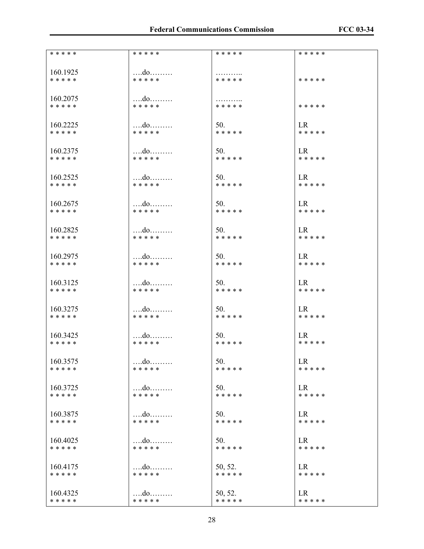| * * * * * | * * * * *     | * * * * * | * * * * * |
|-----------|---------------|-----------|-----------|
| 160.1925  | $\dots$ $d$ 0 | .         | * * * * * |
| * * * * * | * * * * *     | * * * * * |           |
| 160.2075  |               | .         | * * * * * |
| * * * * * | * * * * *     | * * * * * |           |
| 160.2225  |               | 50.       | LR        |
| * * * * * | * * * * *     | * * * * * | * * * * * |
| 160.2375  | do            | 50.       | LR        |
| * * * * * | * * * * *     | * * * * * | * * * * * |
| 160.2525  | do            | 50.       | LR –      |
| * * * * * | * * * * *     | * * * * * | * * * * * |
| 160.2675  | $\dots$ $d$ 0 | 50.       | LR.       |
| * * * * * | * * * * *     | * * * * * | * * * * * |
| 160.2825  | $\dots$ $d$ 0 | 50.       | LR        |
| * * * * * | * * * * *     | * * * * * | * * * * * |
| 160.2975  | do            | 50.       | LR –      |
| * * * * * | * * * * *     | * * * * * | * * * * * |
| 160.3125  | do            | 50.       | LR        |
| * * * * * | * * * * *     | * * * * * | * * * * * |
| 160.3275  | $\dots$ $d$ 0 | 50.       | LR –      |
| * * * * * | * * * * *     | * * * * * | * * * * * |
| 160.3425  |               | 50.       | LR.       |
| * * * * * | * * * * *     | * * * * * | * * * * * |
| 160.3575  |               | 50.       | <b>LR</b> |
| * * * * * | * * * * *     | * * * * * | * * * * * |
| 160.3725  |               | 50.       | LR        |
| * * * * * | * * * * *     | * * * * * | * * * * * |
| 160.3875  |               | 50.       | LR        |
| * * * * * | * * * * *     | * * * * * | * * * * * |
| 160.4025  | do            | 50.       | <b>LR</b> |
| * * * * * | * * * * *     | * * * * * | * * * * * |
| 160.4175  | $\dots$ $d$ 0 | 50, 52.   | LR.       |
| * * * * * | * * * * *     | * * * * * | * * * * * |
| 160.4325  |               | 50, 52.   | LR        |
| * * * * * | * * * * *     | * * * * * | * * * * * |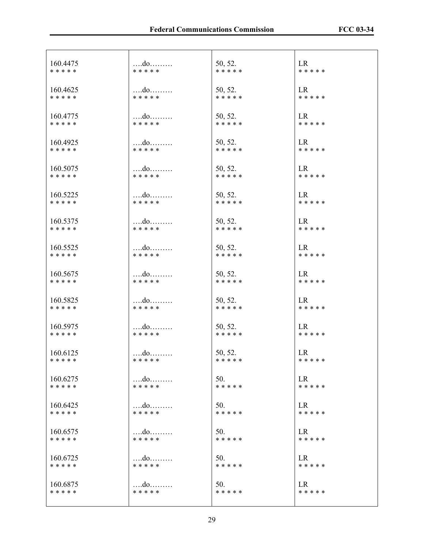| 160.4475  | $\dots$ $d$ 0 | 50, 52.   | LR        |
|-----------|---------------|-----------|-----------|
| * * * * * | * * * * *     | * * * * * | * * * * * |
| 160.4625  | $\dots$       | 50, 52.   | LR        |
| * * * * * | * * * * *     | * * * * * | * * * * * |
| 160.4775  | do            | 50, 52.   | LR        |
| * * * * * | * * * * *     | * * * * * | * * * * * |
| 160.4925  | $\dots$ $d$ 0 | 50, 52.   | LR        |
| * * * * * | * * * * *     | * * * * * | * * * * * |
| 160.5075  | $\dots$ $d$ 0 | 50, 52.   | LR        |
| * * * * * | * * * * *     | * * * * * | * * * * * |
| 160.5225  | $\dots$ $d$ 0 | 50, 52.   | LR        |
| * * * * * | * * * * *     | * * * * * | * * * * * |
| 160.5375  | $\dots$ $d$ 0 | 50, 52.   | LR        |
| * * * * * | * * * * *     | * * * * * | * * * * * |
| 160.5525  | $\dots$ $d$ 0 | 50, 52.   | LR        |
| * * * * * | * * * * *     | * * * * * | * * * * * |
| 160.5675  | $\dots$ $d$ 0 | 50, 52.   | LR        |
| * * * * * | * * * * *     | * * * * * | * * * * * |
| 160.5825  | $\dots$ $d$ 0 | 50, 52.   | LR        |
| * * * * * | * * * * *     | * * * * * | * * * * * |
| 160.5975  | $\dots$ $d$ 0 | 50, 52.   | LR        |
| * * * * * | * * * * *     | * * * * * | * * * * * |
| 160.6125  | $\dots$ $d$ 0 | 50, 52.   | LR        |
| * * * * * | * * * * *     | * * * * * | * * * * * |
| 160.6275  |               | 50.       | LR        |
| * * * * * | * * * * *     | * * * * * | * * * * * |
| 160.6425  |               | 50.       | LR        |
| * * * * * | * * * * *     | * * * * * | * * * * * |
| 160.6575  |               | 50.       | LR.       |
| * * * * * | * * * * *     | * * * * * | * * * * * |
| 160.6725  | $\dots$ $d$ 0 | 50.       | LR        |
| * * * * * | * * * * *     | * * * * * | * * * * * |
| 160.6875  | do            | 50.       | LR        |
| * * * * * | * * * * *     | * * * * * | * * * * * |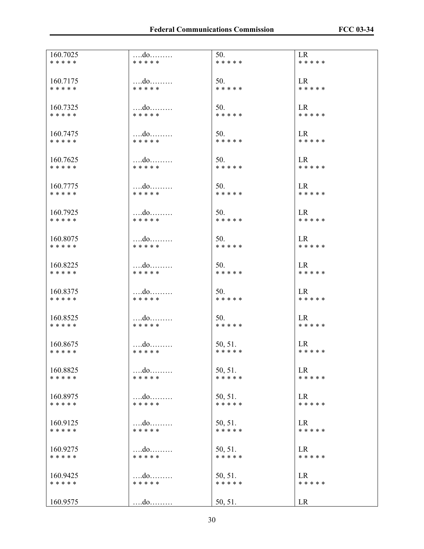| 160.7025<br>* * * * * | do<br>* * * * *            | 50.<br>* * * * *     | <b>LR</b><br>* * * * * |
|-----------------------|----------------------------|----------------------|------------------------|
|                       |                            |                      |                        |
| 160.7175<br>* * * * * | do<br>* * * * *            | 50.<br>* * * * *     | LR.<br>* * * * *       |
|                       |                            |                      |                        |
| 160.7325<br>* * * * * | $\dots$<br>* * * * *       | 50.<br>* * * * *     | <b>LR</b><br>* * * * * |
|                       |                            |                      |                        |
| 160.7475<br>* * * * * | do<br>* * * * *            | 50.<br>* * * * *     | LR.<br>* * * * *       |
| 160.7625              |                            | 50.                  | LR.                    |
| * * * * *             | * * * * *                  | * * * * *            | * * * * *              |
| 160.7775              |                            | 50.                  | LR.                    |
| * * * * *             | * * * * *                  | * * * * *            | * * * * *              |
| 160.7925              | do                         | 50.                  | LR                     |
| * * * * *             | * * * * *                  | * * * * *            | * * * * *              |
| 160.8075              | do                         | 50.                  | LR                     |
| * * * * *             | * * * * *                  | * * * * *            | * * * * *              |
| 160.8225<br>* * * * * | do<br>* * * * *            | 50.<br>* * * * *     | LR<br>* * * * *        |
|                       |                            |                      |                        |
| 160.8375<br>* * * * * | $\dots$<br>* * * * *       | 50.<br>* * * * *     | LR<br>* * * * *        |
|                       |                            |                      |                        |
| 160.8525<br>* * * * * | * * * * *                  | 50.<br>* * * * *     | LR.<br>* * * * *       |
|                       |                            |                      |                        |
| 160.8675<br>* * * * * | $\dots$ $d$ 0<br>* * * * * | 50, 51.<br>* * * * * | LR<br>* * * * *        |
|                       |                            |                      |                        |
| 160.8825<br>* * * * * | do<br>* * * * *            | 50, 51.<br>* * * * * | <b>LR</b><br>* * * * * |
| 160.8975              | do                         | 50, 51.              | <b>LR</b>              |
| * * * * *             | * * * * *                  | * * * * *            | * * * * *              |
| 160.9125              | do                         | 50, 51.              | LR                     |
| * * * * *             | * * * * *                  | * * * * *            | * * * * *              |
| 160.9275              | do                         | 50, 51.              | <b>LR</b>              |
| * * * * *             | * * * * *                  | * * * * *            | * * * * *              |
| 160.9425              | do                         | 50, 51.              | LR                     |
| * * * * *             | * * * * *                  | * * * * *            | * * * * *              |
| 160.9575              | $\dots$                    | 50, 51.              | <b>LR</b>              |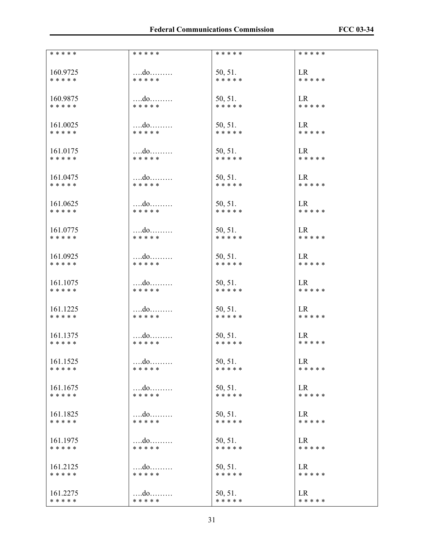| * * * * *             | * * * * *                  | * * * * *            | * * * * *              |
|-----------------------|----------------------------|----------------------|------------------------|
|                       |                            |                      |                        |
| 160.9725              |                            |                      | LR.                    |
| * * * * *             | do<br>* * * * *            | 50, 51.<br>* * * * * | * * * * *              |
|                       |                            |                      |                        |
|                       |                            |                      |                        |
| 160.9875              | do                         | 50, 51.              | <b>LR</b>              |
| * * * * *             | * * * * *                  | * * * * *            | * * * * *              |
|                       |                            |                      |                        |
|                       |                            |                      |                        |
| 161.0025              | do                         | 50, 51.              | <b>LR</b><br>* * * * * |
| * * * * *             | * * * * *                  | * * * * *            |                        |
|                       |                            |                      |                        |
| 161.0175              | $\dots$ $d$ 0              | 50, 51.              | LR                     |
| * * * * *             | * * * * *                  | * * * * *            | * * * * *              |
|                       |                            |                      |                        |
|                       |                            |                      | LR                     |
| 161.0475<br>* * * * * | $\dots$ $d$ 0<br>* * * * * | 50, 51.<br>* * * * * | * * * * *              |
|                       |                            |                      |                        |
|                       |                            |                      |                        |
| 161.0625              | $\dots$ $d$ 0              | 50, 51.              | LR                     |
| * * * * *             | * * * * *                  | * * * * *            | * * * * *              |
|                       |                            |                      |                        |
| 161.0775              |                            |                      | LR                     |
| * * * * *             | $\dots$ $d$ 0<br>* * * * * | 50, 51.<br>* * * * * | * * * * *              |
|                       |                            |                      |                        |
|                       |                            |                      |                        |
| 161.0925              | do                         | 50, 51.              | LR                     |
| * * * * *             | * * * * *                  | * * * * *            | * * * * *              |
|                       |                            |                      |                        |
| 161.1075              | $\dots$ $d$ 0              | 50, 51.              | <b>LR</b>              |
| * * * * *             | * * * * *                  | * * * * *            | * * * * *              |
|                       |                            |                      |                        |
|                       |                            |                      |                        |
| 161.1225              | $\dots$ $d$ 0              | 50, 51.              | LR                     |
| * * * * *             | * * * * *                  | * * * * *            | * * * * *              |
|                       |                            |                      |                        |
| 161.1375              | $\dots$ $d$ 0              | 50, 51.              | LR                     |
| * * * * *             | * * * * *                  | * * * * *            | * * * * *              |
|                       |                            |                      |                        |
|                       |                            |                      |                        |
| 161.1525              | do                         | 50, 51.              | LR                     |
| * * * * *             | * * * * *                  | * * * * *            | * * * * *              |
|                       |                            |                      |                        |
| 161.1675              |                            | 50, 51.              | LR                     |
| * * * * *             | * * * * *                  | * * * * *            | * * * * *              |
|                       |                            |                      |                        |
| 161.1825              |                            | 50, 51.              | LR                     |
| * * * * *             | * * * * *                  | * * * * *            | * * * * *              |
|                       |                            |                      |                        |
|                       |                            |                      |                        |
| 161.1975              | $\dots$ $d$ 0              | 50, 51.              | <b>LR</b>              |
| * * * * *             | * * * * *                  | * * * * *            | * * * * *              |
|                       |                            |                      |                        |
| 161.2125              | do                         | 50, 51.              | LR                     |
| * * * * *             | * * * * *                  | * * * * *            | * * * * *              |
|                       |                            |                      |                        |
| 161.2275              |                            |                      | LR                     |
| * * * * *             | * * * * *                  | 50, 51.<br>* * * * * | * * * * *              |
|                       |                            |                      |                        |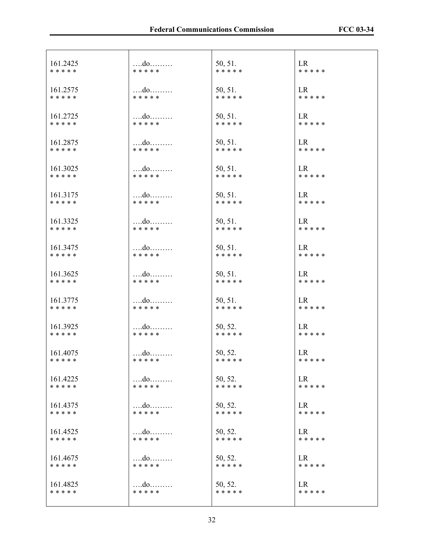| 161.2425  | $\dots$ $d$ 0 | 50, 51.   | LR        |
|-----------|---------------|-----------|-----------|
| * * * * * | * * * * *     | * * * * * | * * * * * |
| 161.2575  | do            | 50, 51.   | LR        |
| * * * * * | * * * * *     | * * * * * | * * * * * |
| 161.2725  | $\dots$ $d$ 0 | 50, 51.   | <b>LR</b> |
| * * * * * | * * * * *     | * * * * * | * * * * * |
| 161.2875  | $\dots$ $d$ 0 | 50, 51.   | <b>LR</b> |
| * * * * * | * * * * *     | * * * * * | * * * * * |
| 161.3025  | $\dots$ $d$ 0 | 50, 51.   | LR        |
| * * * * * | * * * * *     | * * * * * | * * * * * |
| 161.3175  |               | 50, 51.   | LR        |
| * * * * * | * * * * *     | * * * * * | * * * * * |
| 161.3325  | $\dots$ $d$ 0 | 50, 51.   | LR        |
| * * * * * | * * * * *     | * * * * * | * * * * * |
| 161.3475  | $\dots$ $d$ 0 | 50, 51.   | LR        |
| * * * * * | * * * * *     | * * * * * | * * * * * |
| 161.3625  | do            | 50, 51.   | <b>LR</b> |
| * * * * * | * * * * *     | * * * * * | * * * * * |
| 161.3775  | $\dots$ $d$ 0 | 50, 51.   | <b>LR</b> |
| * * * * * | * * * * *     | * * * * * | * * * * * |
| 161.3925  | $\dots$ $d$ 0 | 50, 52.   | LR        |
| * * * * * | * * * * *     | * * * * * | * * * * * |
| 161.4075  |               | 50, 52.   | LR        |
| * * * * * | * * * * *     | * * * * * | * * * * * |
| 161.4225  |               | 50, 52.   | <b>LR</b> |
| * * * * * | * * * * *     | * * * * * | * * * * * |
| 161.4375  | $$ do         | 50, 52.   | LR.       |
| * * * * * | * * * * *     | * * * * * | * * * * * |
| 161.4525  |               | 50, 52.   | LR.       |
| * * * * * | * * * * *     | * * * * * | * * * * * |
| 161.4675  | do            | 50, 52.   | <b>LR</b> |
| * * * * * | * * * * *     | * * * * * | * * * * * |
| 161.4825  |               | 50, 52.   | <b>LR</b> |
| * * * * * | * * * * *     | * * * * * | * * * * * |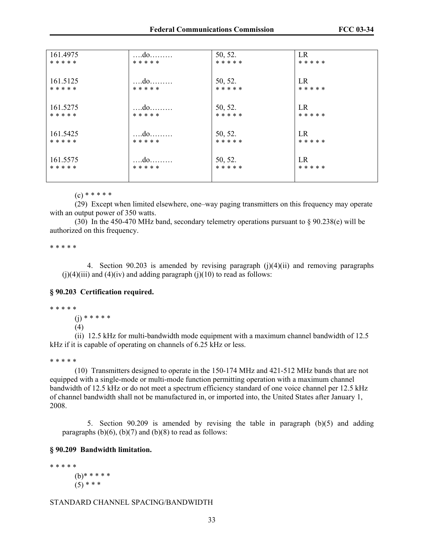| 161.4975  | do            | 50, 52.   | LR        |
|-----------|---------------|-----------|-----------|
| * * * * * | * * * * *     | * * * * * | * * * * * |
|           |               |           |           |
| 161.5125  |               | 50, 52.   | LR        |
| * * * * * | * * * * *     |           | * * * * * |
|           |               | * * * * * |           |
|           |               |           |           |
| 161.5275  | $\dots$ $d$ 0 | 50, 52.   | LR        |
| * * * * * | * * * * *     | * * * * * | * * * * * |
|           |               |           |           |
|           |               |           |           |
| 161.5425  |               | 50, 52.   | LR        |
| * * * * * | * * * * *     | * * * * * | * * * * * |
|           |               |           |           |
|           |               |           |           |
| 161.5575  |               | 50, 52.   | LR        |
| * * * * * | * * * * *     | * * * * * | * * * * * |
|           |               |           |           |
|           |               |           |           |

 $(c)$  \* \* \* \* \*

 (29) Except when limited elsewhere, one–way paging transmitters on this frequency may operate with an output power of 350 watts.

 (30) In the 450-470 MHz band, secondary telemetry operations pursuant to § 90.238(e) will be authorized on this frequency.

\* \* \* \* \*

4. Section 90.203 is amended by revising paragraph  $(j)(4)(ii)$  and removing paragraphs  $(i)(4)(iii)$  and  $(4)(iv)$  and adding paragraph  $(i)(10)$  to read as follows:

#### **§ 90.203 Certification required.**

#### \* \* \* \* \*

(j) \* \* \* \* \*

(4)

(ii) 12.5 kHz for multi-bandwidth mode equipment with a maximum channel bandwidth of 12.5 kHz if it is capable of operating on channels of 6.25 kHz or less.

#### \* \* \* \* \*

(10) Transmitters designed to operate in the 150-174 MHz and 421-512 MHz bands that are not equipped with a single-mode or multi-mode function permitting operation with a maximum channel bandwidth of 12.5 kHz or do not meet a spectrum efficiency standard of one voice channel per 12.5 kHz of channel bandwidth shall not be manufactured in, or imported into, the United States after January 1, 2008.

5. Section 90.209 is amended by revising the table in paragraph (b)(5) and adding paragraphs  $(b)(6)$ ,  $(b)(7)$  and  $(b)(8)$  to read as follows:

## **§ 90.209 Bandwidth limitation.**

\* \* \* \* \* (b)\* \* \* \* \*  $(5)$  \* \* \*

#### STANDARD CHANNEL SPACING/BANDWIDTH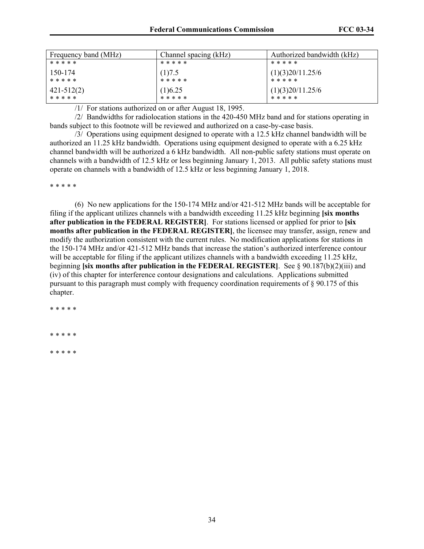| Frequency band (MHz) | Channel spacing (kHz) | Authorized bandwidth (kHz) |
|----------------------|-----------------------|----------------------------|
| * * * * *            | * * * * *             | * * * * *                  |
| 150-174              | (1)7.5                | (1)(3)20/11.25/6           |
| * * * * *            | * * * * *             | * * * * *                  |
| $ 421-512(2) $       | (1)6.25               | (1)(3)20/11.25/6           |
| * * * * *            | * * * * *             | * * * * *                  |

/1/ For stations authorized on or after August 18, 1995.

 /2/ Bandwidths for radiolocation stations in the 420-450 MHz band and for stations operating in bands subject to this footnote will be reviewed and authorized on a case-by-case basis.

 /3/ Operations using equipment designed to operate with a 12.5 kHz channel bandwidth will be authorized an 11.25 kHz bandwidth. Operations using equipment designed to operate with a 6.25 kHz channel bandwidth will be authorized a 6 kHz bandwidth. All non-public safety stations must operate on channels with a bandwidth of 12.5 kHz or less beginning January 1, 2013. All public safety stations must operate on channels with a bandwidth of 12.5 kHz or less beginning January 1, 2018.

\* \* \* \* \*

 (6) No new applications for the 150-174 MHz and/or 421-512 MHz bands will be acceptable for filing if the applicant utilizes channels with a bandwidth exceeding 11.25 kHz beginning **[six months after publication in the FEDERAL REGISTER]**. For stations licensed or applied for prior to **[six months after publication in the FEDERAL REGISTER]**, the licensee may transfer, assign, renew and modify the authorization consistent with the current rules. No modification applications for stations in the 150-174 MHz and/or 421-512 MHz bands that increase the station's authorized interference contour will be acceptable for filing if the applicant utilizes channels with a bandwidth exceeding 11.25 kHz, beginning **[six months after publication in the FEDERAL REGISTER]**. See § 90.187(b)(2)(iii) and (iv) of this chapter for interference contour designations and calculations. Applications submitted pursuant to this paragraph must comply with frequency coordination requirements of § 90.175 of this chapter.

\* \* \* \* \*

\* \* \* \* \*

\* \* \* \* \*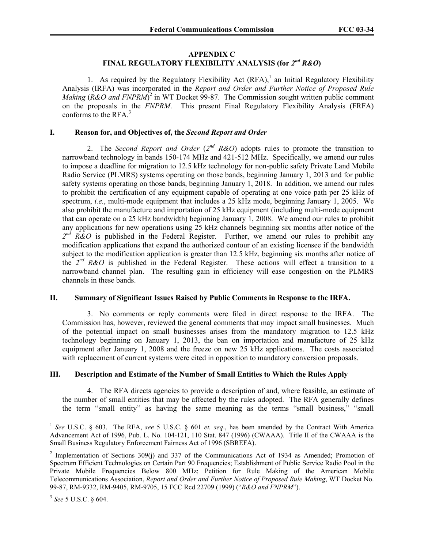### **APPENDIX C FINAL REGULATORY FLEXIBILITY ANALYSIS (for** *2nd R&O***)**

1. As required by the Regulatory Flexibility Act  $(RFA)$ ,<sup>1</sup> an Initial Regulatory Flexibility Analysis (IRFA) was incorporated in the *Report and Order and Further Notice of Proposed Rule Making (R&O and FNPRM*)<sup>2</sup> in WT Docket 99-87. The Commission sought written public comment on the proposals in the *FNPRM*. This present Final Regulatory Flexibility Analysis (FRFA) conforms to the  $RFA<sup>3</sup>$ 

## **I. Reason for, and Objectives of, the** *Second Report and Order*

2. The *Second Report and Order* (*2nd R&O*) adopts rules to promote the transition to narrowband technology in bands 150-174 MHz and 421-512 MHz. Specifically, we amend our rules to impose a deadline for migration to 12.5 kHz technology for non-public safety Private Land Mobile Radio Service (PLMRS) systems operating on those bands, beginning January 1, 2013 and for public safety systems operating on those bands, beginning January 1, 2018. In addition, we amend our rules to prohibit the certification of any equipment capable of operating at one voice path per 25 kHz of spectrum, *i.e.*, multi-mode equipment that includes a 25 kHz mode, beginning January 1, 2005. We also prohibit the manufacture and importation of 25 kHz equipment (including multi-mode equipment that can operate on a 25 kHz bandwidth) beginning January 1, 2008. We amend our rules to prohibit any applications for new operations using 25 kHz channels beginning six months after notice of the  $2^{nd}$  R&O is published in the Federal Register. Further, we amend our rules to prohibit any modification applications that expand the authorized contour of an existing licensee if the bandwidth subject to the modification application is greater than 12.5 kHz, beginning six months after notice of the  $2^{nd}$  R&O is published in the Federal Register. These actions will effect a transition to a narrowband channel plan. The resulting gain in efficiency will ease congestion on the PLMRS channels in these bands.

## **II. Summary of Significant Issues Raised by Public Comments in Response to the IRFA.**

3. No comments or reply comments were filed in direct response to the IRFA. The Commission has, however, reviewed the general comments that may impact small businesses. Much of the potential impact on small businesses arises from the mandatory migration to 12.5 kHz technology beginning on January 1, 2013, the ban on importation and manufacture of 25 kHz equipment after January 1, 2008 and the freeze on new 25 kHz applications. The costs associated with replacement of current systems were cited in opposition to mandatory conversion proposals.

## **III. Description and Estimate of the Number of Small Entities to Which the Rules Apply**

4. The RFA directs agencies to provide a description of and, where feasible, an estimate of the number of small entities that may be affected by the rules adopted. The RFA generally defines the term "small entity" as having the same meaning as the terms "small business," "small

<sup>1</sup> *See* U.S.C. § 603. The RFA, *see* 5 U.S.C. § 601 *et. seq*., has been amended by the Contract With America Advancement Act of 1996, Pub. L. No. 104-121, 110 Stat. 847 (1996) (CWAAA). Title II of the CWAAA is the Small Business Regulatory Enforcement Fairness Act of 1996 (SBREFA).

<sup>&</sup>lt;sup>2</sup> Implementation of Sections 309(j) and 337 of the Communications Act of 1934 as Amended; Promotion of Spectrum Efficient Technologies on Certain Part 90 Frequencies; Establishment of Public Service Radio Pool in the Private Mobile Frequencies Below 800 MHz; Petition for Rule Making of the American Mobile Telecommunications Association, *Report and Order and Further Notice of Proposed Rule Making*, WT Docket No. 99-87, RM-9332, RM-9405, RM-9705, 15 FCC Rcd 22709 (1999) ("*R&O and FNPRM*").

<sup>3</sup> *See* 5 U.S.C. § 604.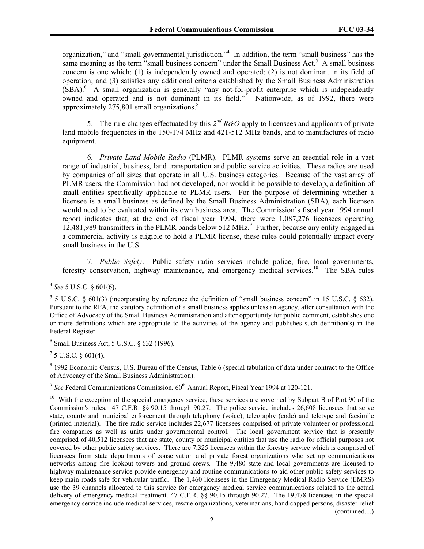organization," and "small governmental jurisdiction."<sup>4</sup> In addition, the term "small business" has the same meaning as the term "small business concern" under the Small Business Act.<sup>5</sup> A small business concern is one which: (1) is independently owned and operated; (2) is not dominant in its field of operation; and (3) satisfies any additional criteria established by the Small Business Administration  $(SBA)$ <sup>6</sup> A small organization is generally "any not-for-profit enterprise which is independently owned and operated and is not dominant in its field."<sup>7</sup> Nationwide, as of 1992, there were approximately  $275,801$  small organizations.<sup>8</sup>

5. The rule changes effectuated by this *2nd R&O* apply to licensees and applicants of private land mobile frequencies in the 150-174 MHz and 421-512 MHz bands, and to manufactures of radio equipment.

6. *Private Land Mobile Radio* (PLMR). PLMR systems serve an essential role in a vast range of industrial, business, land transportation and public service activities. These radios are used by companies of all sizes that operate in all U.S. business categories. Because of the vast array of PLMR users, the Commission had not developed, nor would it be possible to develop, a definition of small entities specifically applicable to PLMR users. For the purpose of determining whether a licensee is a small business as defined by the Small Business Administration (SBA), each licensee would need to be evaluated within its own business area. The Commission's fiscal year 1994 annual report indicates that, at the end of fiscal year 1994, there were 1,087,276 licensees operating 12,481,989 transmitters in the PLMR bands below 512 MHz.<sup>9</sup> Further, because any entity engaged in a commercial activity is eligible to hold a PLMR license, these rules could potentially impact every small business in the U.S.

7. *Public Safety*. Public safety radio services include police, fire, local governments, forestry conservation, highway maintenance, and emergency medical services.<sup>10</sup> The SBA rules

 $\overline{a}$ 

6 Small Business Act, 5 U.S.C. § 632 (1996).

 $^7$  5 U.S.C. § 601(4).

<sup>8</sup> 1992 Economic Census, U.S. Bureau of the Census, Table 6 (special tabulation of data under contract to the Office of Advocacy of the Small Business Administration).

<sup>9</sup> See Federal Communications Commission, 60<sup>th</sup> Annual Report, Fiscal Year 1994 at 120-121.

<sup>4</sup> *See* 5 U.S.C. § 601(6).

 $5$  5 U.S.C. § 601(3) (incorporating by reference the definition of "small business concern" in 15 U.S.C. § 632). Pursuant to the RFA, the statutory definition of a small business applies unless an agency, after consultation with the Office of Advocacy of the Small Business Administration and after opportunity for public comment, establishes one or more definitions which are appropriate to the activities of the agency and publishes such definition(s) in the Federal Register.

<sup>&</sup>lt;sup>10</sup> With the exception of the special emergency service, these services are governed by Subpart B of Part 90 of the Commission's rules. 47 C.F.R. §§ 90.15 through 90.27. The police service includes 26,608 licensees that serve state, county and municipal enforcement through telephony (voice), telegraphy (code) and teletype and facsimile (printed material). The fire radio service includes 22,677 licensees comprised of private volunteer or professional fire companies as well as units under governmental control. The local government service that is presently comprised of 40,512 licensees that are state, county or municipal entities that use the radio for official purposes not covered by other public safety services. There are 7,325 licensees within the forestry service which is comprised of licensees from state departments of conservation and private forest organizations who set up communications networks among fire lookout towers and ground crews. The 9,480 state and local governments are licensed to highway maintenance service provide emergency and routine communications to aid other public safety services to keep main roads safe for vehicular traffic. The 1,460 licensees in the Emergency Medical Radio Service (EMRS) use the 39 channels allocated to this service for emergency medical service communications related to the actual delivery of emergency medical treatment. 47 C.F.R. §§ 90.15 through 90.27. The 19,478 licensees in the special emergency service include medical services, rescue organizations, veterinarians, handicapped persons, disaster relief (continued....)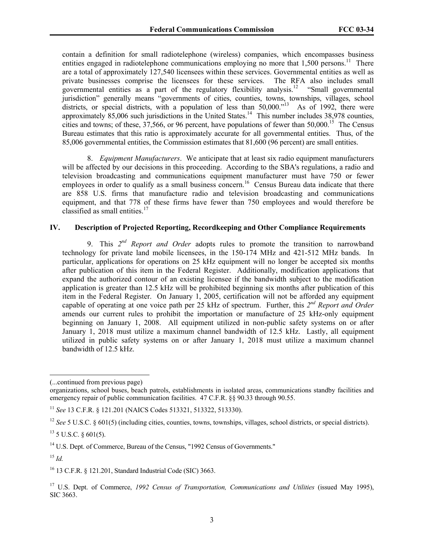contain a definition for small radiotelephone (wireless) companies, which encompasses business entities engaged in radiotelephone communications employing no more that  $1,500$  persons.<sup>11</sup> There are a total of approximately 127,540 licensees within these services. Governmental entities as well as private businesses comprise the licensees for these services. The RFA also includes small governmental entities as a part of the regulatory flexibility analysis.12 "Small governmental jurisdiction" generally means "governments of cities, counties, towns, townships, villages, school districts, or special districts, with a population of less than 50,000."<sup>13</sup> As of 1992, there were approximately 85,006 such jurisdictions in the United States.<sup>14</sup> This number includes 38,978 counties, cities and towns; of these,  $37,566$ , or 96 percent, have populations of fewer than  $50,000$ .<sup>15</sup> The Census Bureau estimates that this ratio is approximately accurate for all governmental entities. Thus, of the 85,006 governmental entities, the Commission estimates that 81,600 (96 percent) are small entities.

8. *Equipment Manufacturers*. We anticipate that at least six radio equipment manufacturers will be affected by our decisions in this proceeding. According to the SBA's regulations, a radio and television broadcasting and communications equipment manufacturer must have 750 or fewer employees in order to qualify as a small business concern.<sup>16</sup> Census Bureau data indicate that there are 858 U.S. firms that manufacture radio and television broadcasting and communications equipment, and that 778 of these firms have fewer than 750 employees and would therefore be classified as small entities.<sup>17</sup>

### **IV. Description of Projected Reporting, Recordkeeping and Other Compliance Requirements**

9. This *2nd Report and Order* adopts rules to promote the transition to narrowband technology for private land mobile licensees, in the 150-174 MHz and 421-512 MHz bands. In particular, applications for operations on 25 kHz equipment will no longer be accepted six months after publication of this item in the Federal Register. Additionally, modification applications that expand the authorized contour of an existing licensee if the bandwidth subject to the modification application is greater than 12.5 kHz will be prohibited beginning six months after publication of this item in the Federal Register. On January 1, 2005, certification will not be afforded any equipment capable of operating at one voice path per 25 kHz of spectrum. Further, this *2nd Report and Order* amends our current rules to prohibit the importation or manufacture of 25 kHz-only equipment beginning on January 1, 2008. All equipment utilized in non-public safety systems on or after January 1, 2018 must utilize a maximum channel bandwidth of 12.5 kHz. Lastly, all equipment utilized in public safety systems on or after January 1, 2018 must utilize a maximum channel bandwidth of 12.5 kHz.

<sup>(...</sup>continued from previous page)

organizations, school buses, beach patrols, establishments in isolated areas, communications standby facilities and emergency repair of public communication facilities. 47 C.F.R. §§ 90.33 through 90.55.

<sup>11</sup> *See* 13 C.F.R. § 121.201 (NAICS Codes 513321, 513322, 513330).

<sup>&</sup>lt;sup>12</sup> See 5 U.S.C. § 601(5) (including cities, counties, towns, townships, villages, school districts, or special districts).

 $13$  5 U.S.C.  $\delta$  601(5).

<sup>&</sup>lt;sup>14</sup> U.S. Dept. of Commerce, Bureau of the Census, "1992 Census of Governments."

<sup>15</sup> *Id.*

<sup>16 13</sup> C.F.R. § 121.201, Standard Industrial Code (SIC) 3663.

<sup>17</sup> U.S. Dept. of Commerce, *1992 Census of Transportation, Communications and Utilities* (issued May 1995), SIC 3663.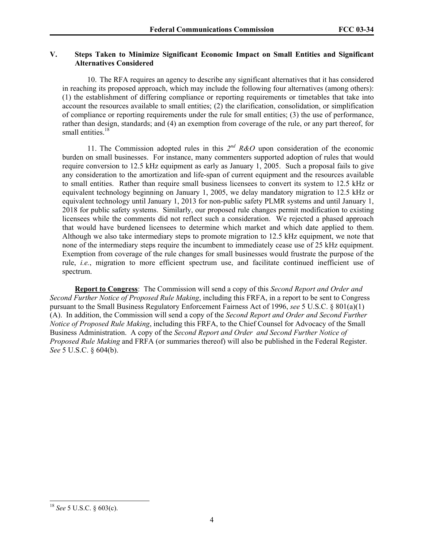## **V. Steps Taken to Minimize Significant Economic Impact on Small Entities and Significant Alternatives Considered**

10. The RFA requires an agency to describe any significant alternatives that it has considered in reaching its proposed approach, which may include the following four alternatives (among others): (1) the establishment of differing compliance or reporting requirements or timetables that take into account the resources available to small entities; (2) the clarification, consolidation, or simplification of compliance or reporting requirements under the rule for small entities; (3) the use of performance, rather than design, standards; and (4) an exemption from coverage of the rule, or any part thereof, for small entities.<sup>18</sup>

11. The Commission adopted rules in this *2nd R&O* upon consideration of the economic burden on small businesses. For instance, many commenters supported adoption of rules that would require conversion to 12.5 kHz equipment as early as January 1, 2005. Such a proposal fails to give any consideration to the amortization and life-span of current equipment and the resources available to small entities. Rather than require small business licensees to convert its system to 12.5 kHz or equivalent technology beginning on January 1, 2005, we delay mandatory migration to 12.5 kHz or equivalent technology until January 1, 2013 for non-public safety PLMR systems and until January 1, 2018 for public safety systems. Similarly, our proposed rule changes permit modification to existing licensees while the comments did not reflect such a consideration. We rejected a phased approach that would have burdened licensees to determine which market and which date applied to them. Although we also take intermediary steps to promote migration to 12.5 kHz equipment, we note that none of the intermediary steps require the incumbent to immediately cease use of 25 kHz equipment. Exemption from coverage of the rule changes for small businesses would frustrate the purpose of the rule, *i.e.*, migration to more efficient spectrum use, and facilitate continued inefficient use of spectrum.

**Report to Congress**: The Commission will send a copy of this *Second Report and Order and Second Further Notice of Proposed Rule Making*, including this FRFA, in a report to be sent to Congress pursuant to the Small Business Regulatory Enforcement Fairness Act of 1996, *see* 5 U.S.C. § 801(a)(1) (A). In addition, the Commission will send a copy of the *Second Report and Order and Second Further Notice of Proposed Rule Making*, including this FRFA, to the Chief Counsel for Advocacy of the Small Business Administration. A copy of the *Second Report and Order and Second Further Notice of Proposed Rule Making* and FRFA (or summaries thereof) will also be published in the Federal Register. *See* 5 U.S.C. § 604(b).

<sup>18</sup> *See* 5 U.S.C. § 603(c).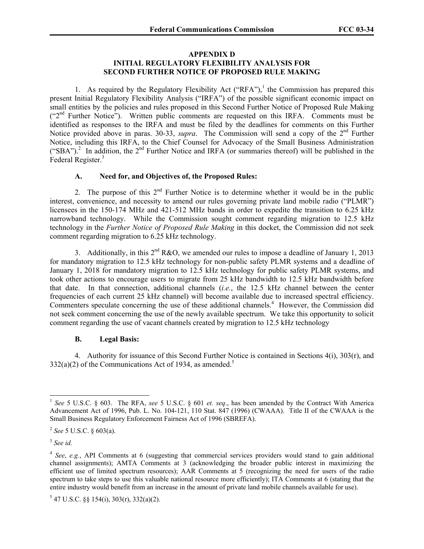#### **APPENDIX D INITIAL REGULATORY FLEXIBILITY ANALYSIS FOR SECOND FURTHER NOTICE OF PROPOSED RULE MAKING**

1. As required by the Regulatory Flexibility Act ("RFA"),<sup>1</sup> the Commission has prepared this present Initial Regulatory Flexibility Analysis ("IRFA") of the possible significant economic impact on small entities by the policies and rules proposed in this Second Further Notice of Proposed Rule Making  $($ "2<sup>nd</sup> Further Notice"). Written public comments are requested on this IRFA. Comments must be identified as responses to the IRFA and must be filed by the deadlines for comments on this Further Notice provided above in paras. 30-33, *supra*. The Commission will send a copy of the 2<sup>nd</sup> Further Notice, including this IRFA, to the Chief Counsel for Advocacy of the Small Business Administration ("SBA").<sup>2</sup> In addition, the  $2<sup>nd</sup>$  Further Notice and IRFA (or summaries thereof) will be published in the Federal Register.<sup>3</sup>

## **A. Need for, and Objectives of, the Proposed Rules:**

2. The purpose of this  $2<sup>nd</sup>$  Further Notice is to determine whether it would be in the public interest, convenience, and necessity to amend our rules governing private land mobile radio ("PLMR") licensees in the 150-174 MHz and 421-512 MHz bands in order to expedite the transition to 6.25 kHz narrowband technology. While the Commission sought comment regarding migration to 12.5 kHz technology in the *Further Notice of Proposed Rule Making* in this docket, the Commission did not seek comment regarding migration to 6.25 kHz technology.

3. Additionally, in this  $2^{nd}$  R&O, we amended our rules to impose a deadline of January 1, 2013 for mandatory migration to 12.5 kHz technology for non-public safety PLMR systems and a deadline of January 1, 2018 for mandatory migration to 12.5 kHz technology for public safety PLMR systems, and took other actions to encourage users to migrate from 25 kHz bandwidth to 12.5 kHz bandwidth before that date. In that connection, additional channels (*i.e.*, the 12.5 kHz channel between the center frequencies of each current 25 kHz channel) will become available due to increased spectral efficiency. Commenters speculate concerning the use of these additional channels.<sup>4</sup> However, the Commission did not seek comment concerning the use of the newly available spectrum. We take this opportunity to solicit comment regarding the use of vacant channels created by migration to 12.5 kHz technology

## **B. Legal Basis:**

4. Authority for issuance of this Second Further Notice is contained in Sections 4(i), 303(r), and  $332(a)(2)$  of the Communications Act of 1934, as amended.<sup>5</sup>

<sup>1</sup> *See* 5 U.S.C. § 603. The RFA, *see* 5 U.S.C. § 601 *et. seq*., has been amended by the Contract With America Advancement Act of 1996, Pub. L. No. 104-121, 110 Stat. 847 (1996) (CWAAA). Title II of the CWAAA is the Small Business Regulatory Enforcement Fairness Act of 1996 (SBREFA).

<sup>2</sup> *See* 5 U.S.C. § 603(a).

<sup>3</sup> *See id.*

<sup>4</sup> *See*, *e.g.*, API Comments at 6 (suggesting that commercial services providers would stand to gain additional channel assignments); AMTA Comments at 3 (acknowledging the broader public interest in maximizing the efficient use of limited spectrum resources); AAR Comments at 5 (recognizing the need for users of the radio spectrum to take steps to use this valuable national resource more efficiently); ITA Comments at 6 (stating that the entire industry would benefit from an increase in the amount of private land mobile channels available for use).

 $5$  47 U.S.C. §§ 154(i), 303(r), 332(a)(2).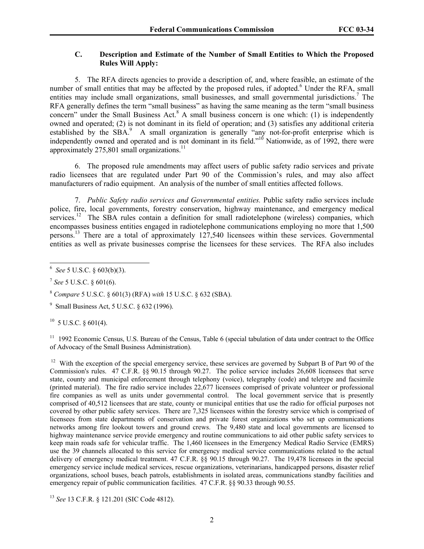## **C. Description and Estimate of the Number of Small Entities to Which the Proposed Rules Will Apply:**

5. The RFA directs agencies to provide a description of, and, where feasible, an estimate of the number of small entities that may be affected by the proposed rules, if adopted.<sup>6</sup> Under the RFA, small entities may include small organizations, small businesses, and small governmental jurisdictions.<sup>7</sup> The RFA generally defines the term "small business" as having the same meaning as the term "small business" concern" under the Small Business Act. $8$  A small business concern is one which: (1) is independently owned and operated; (2) is not dominant in its field of operation; and (3) satisfies any additional criteria established by the SBA.<sup>9</sup> A small organization is generally "any not-for-profit enterprise which is independently owned and operated and is not dominant in its field."<sup>10</sup> Nationwide, as of 1992, there were approximately 275,801 small organizations.<sup>11</sup>

6. The proposed rule amendments may affect users of public safety radio services and private radio licensees that are regulated under Part 90 of the Commission's rules, and may also affect manufacturers of radio equipment. An analysis of the number of small entities affected follows.

7. *Public Safety radio services and Governmental entities.* Public safety radio services include police, fire, local governments, forestry conservation, highway maintenance, and emergency medical services.<sup>12</sup> The SBA rules contain a definition for small radiotelephone (wireless) companies, which encompasses business entities engaged in radiotelephone communications employing no more that 1,500 persons.13 There are a total of approximately 127,540 licensees within these services. Governmental entities as well as private businesses comprise the licensees for these services. The RFA also includes

<sup>7</sup> *See* 5 U.S.C. § 601(6).

<sup>8</sup> *Compare* 5 U.S.C. § 601(3) (RFA) *with* 15 U.S.C. § 632 (SBA).

9 Small Business Act, 5 U.S.C. § 632 (1996).

 $10\,$  5 U.S.C.  $\delta$  601(4).

<sup>11</sup> 1992 Economic Census, U.S. Bureau of the Census, Table 6 (special tabulation of data under contract to the Office of Advocacy of the Small Business Administration).

<sup>12</sup> With the exception of the special emergency service, these services are governed by Subpart B of Part 90 of the Commission's rules. 47 C.F.R. §§ 90.15 through 90.27. The police service includes 26,608 licensees that serve state, county and municipal enforcement through telephony (voice), telegraphy (code) and teletype and facsimile (printed material). The fire radio service includes 22,677 licensees comprised of private volunteer or professional fire companies as well as units under governmental control. The local government service that is presently comprised of 40,512 licensees that are state, county or municipal entities that use the radio for official purposes not covered by other public safety services. There are 7,325 licensees within the forestry service which is comprised of licensees from state departments of conservation and private forest organizations who set up communications networks among fire lookout towers and ground crews. The 9,480 state and local governments are licensed to highway maintenance service provide emergency and routine communications to aid other public safety services to keep main roads safe for vehicular traffic. The 1,460 licensees in the Emergency Medical Radio Service (EMRS) use the 39 channels allocated to this service for emergency medical service communications related to the actual delivery of emergency medical treatment. 47 C.F.R. §§ 90.15 through 90.27. The 19,478 licensees in the special emergency service include medical services, rescue organizations, veterinarians, handicapped persons, disaster relief organizations, school buses, beach patrols, establishments in isolated areas, communications standby facilities and emergency repair of public communication facilities. 47 C.F.R.  $\S 90.33$  through 90.55.

<sup>13</sup> *See* 13 C.F.R. § 121.201 (SIC Code 4812).

 6 *See* 5 U.S.C. § 603(b)(3).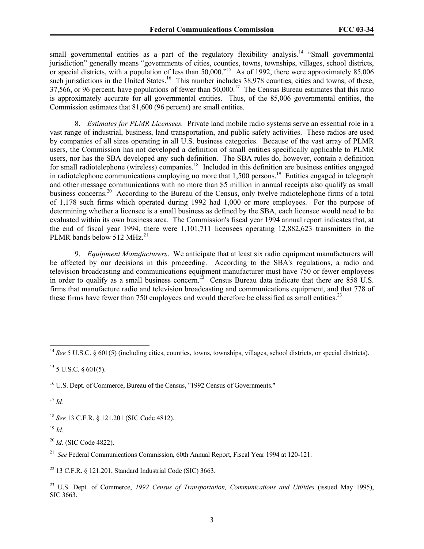small governmental entities as a part of the regulatory flexibility analysis.<sup>14</sup> "Small governmental" jurisdiction" generally means "governments of cities, counties, towns, townships, villages, school districts, or special districts, with a population of less than 50,000.<sup>15</sup> As of 1992, there were approximately 85,006 such jurisdictions in the United States.<sup>16</sup> This number includes 38,978 counties, cities and towns; of these, 37,566, or 96 percent, have populations of fewer than 50,000.<sup>17</sup> The Census Bureau estimates that this ratio is approximately accurate for all governmental entities. Thus, of the 85,006 governmental entities, the Commission estimates that 81,600 (96 percent) are small entities.

8. *Estimates for PLMR Licensees.* Private land mobile radio systems serve an essential role in a vast range of industrial, business, land transportation, and public safety activities. These radios are used by companies of all sizes operating in all U.S. business categories. Because of the vast array of PLMR users, the Commission has not developed a definition of small entities specifically applicable to PLMR users, nor has the SBA developed any such definition. The SBA rules do, however, contain a definition for small radiotelephone (wireless) companies.<sup>18</sup> Included in this definition are business entities engaged in radiotelephone communications employing no more that 1,500 persons.<sup>19</sup> Entities engaged in telegraph and other message communications with no more than \$5 million in annual receipts also qualify as small business concerns.<sup>20</sup> According to the Bureau of the Census, only twelve radiotelephone firms of a total of 1,178 such firms which operated during 1992 had 1,000 or more employees. For the purpose of determining whether a licensee is a small business as defined by the SBA, each licensee would need to be evaluated within its own business area. The Commission's fiscal year 1994 annual report indicates that, at the end of fiscal year 1994, there were 1,101,711 licensees operating 12,882,623 transmitters in the PLMR bands below 512 MHz.<sup>21</sup>

9. *Equipment Manufacturers*. We anticipate that at least six radio equipment manufacturers will be affected by our decisions in this proceeding. According to the SBA's regulations, a radio and television broadcasting and communications equipment manufacturer must have 750 or fewer employees in order to qualify as a small business concern.<sup>22</sup> Census Bureau data indicate that there are  $858$  U.S. firms that manufacture radio and television broadcasting and communications equipment, and that 778 of these firms have fewer than 750 employees and would therefore be classified as small entities.<sup>23</sup>

<sup>17</sup> *Id.*

 $\overline{a}$ 

<sup>18</sup> *See* 13 C.F.R. § 121.201 (SIC Code 4812).

<sup>19</sup> *Id.*

<sup>20</sup> *Id.* (SIC Code 4822).

<sup>21</sup> *See* Federal Communications Commission, 60th Annual Report, Fiscal Year 1994 at 120-121.

<sup>22</sup> 13 C.F.R. § 121.201, Standard Industrial Code (SIC) 3663.

<sup>&</sup>lt;sup>14</sup> See 5 U.S.C. § 601(5) (including cities, counties, towns, townships, villages, school districts, or special districts).

 $15$  5 U.S.C. § 601(5).

<sup>&</sup>lt;sup>16</sup> U.S. Dept. of Commerce, Bureau of the Census, "1992 Census of Governments."

<sup>23</sup> U.S. Dept. of Commerce, *1992 Census of Transportation, Communications and Utilities* (issued May 1995), SIC 3663.